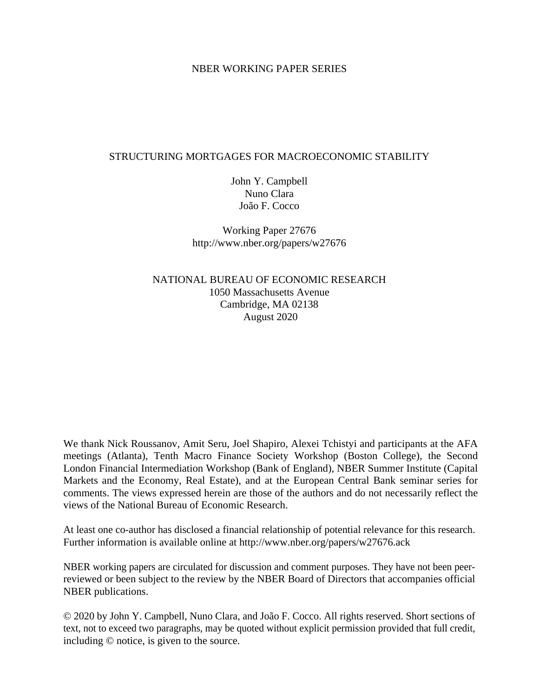### NBER WORKING PAPER SERIES

### STRUCTURING MORTGAGES FOR MACROECONOMIC STABILITY

John Y. Campbell Nuno Clara João F. Cocco

Working Paper 27676 http://www.nber.org/papers/w27676

NATIONAL BUREAU OF ECONOMIC RESEARCH 1050 Massachusetts Avenue Cambridge, MA 02138 August 2020

We thank Nick Roussanov, Amit Seru, Joel Shapiro, Alexei Tchistyi and participants at the AFA meetings (Atlanta), Tenth Macro Finance Society Workshop (Boston College), the Second London Financial Intermediation Workshop (Bank of England), NBER Summer Institute (Capital Markets and the Economy, Real Estate), and at the European Central Bank seminar series for comments. The views expressed herein are those of the authors and do not necessarily reflect the views of the National Bureau of Economic Research.

At least one co-author has disclosed a financial relationship of potential relevance for this research. Further information is available online at http://www.nber.org/papers/w27676.ack

NBER working papers are circulated for discussion and comment purposes. They have not been peerreviewed or been subject to the review by the NBER Board of Directors that accompanies official NBER publications.

© 2020 by John Y. Campbell, Nuno Clara, and João F. Cocco. All rights reserved. Short sections of text, not to exceed two paragraphs, may be quoted without explicit permission provided that full credit, including © notice, is given to the source.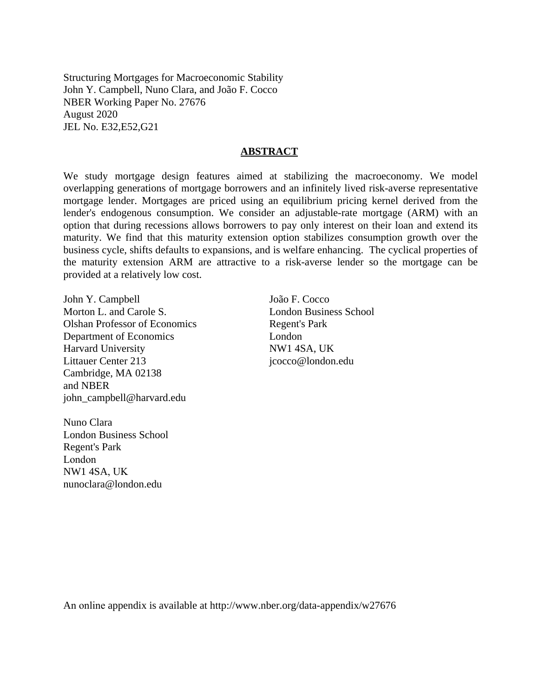Structuring Mortgages for Macroeconomic Stability John Y. Campbell, Nuno Clara, and João F. Cocco NBER Working Paper No. 27676 August 2020 JEL No. E32,E52,G21

#### **ABSTRACT**

We study mortgage design features aimed at stabilizing the macroeconomy. We model overlapping generations of mortgage borrowers and an infinitely lived risk-averse representative mortgage lender. Mortgages are priced using an equilibrium pricing kernel derived from the lender's endogenous consumption. We consider an adjustable-rate mortgage (ARM) with an option that during recessions allows borrowers to pay only interest on their loan and extend its maturity. We find that this maturity extension option stabilizes consumption growth over the business cycle, shifts defaults to expansions, and is welfare enhancing. The cyclical properties of the maturity extension ARM are attractive to a risk-averse lender so the mortgage can be provided at a relatively low cost.

John Y. Campbell Morton L. and Carole S. Olshan Professor of Economics Department of Economics Harvard University Littauer Center 213 Cambridge, MA 02138 and NBER john\_campbell@harvard.edu

Nuno Clara London Business School Regent's Park London NW1 4SA, UK nunoclara@london.edu

João F. Cocco London Business School Regent's Park London NW1 4SA, UK jcocco@london.edu

An online appendix is available at http://www.nber.org/data-appendix/w27676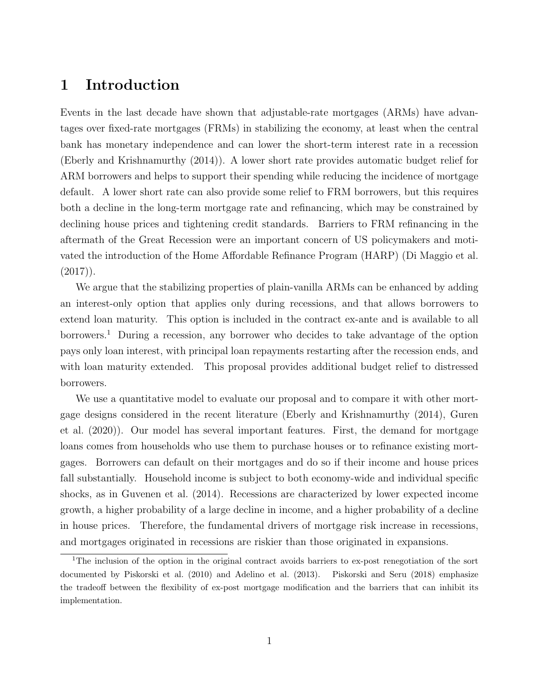# 1 Introduction

Events in the last decade have shown that adjustable-rate mortgages (ARMs) have advantages over fixed-rate mortgages (FRMs) in stabilizing the economy, at least when the central bank has monetary independence and can lower the short-term interest rate in a recession (Eberly and Krishnamurthy (2014)). A lower short rate provides automatic budget relief for ARM borrowers and helps to support their spending while reducing the incidence of mortgage default. A lower short rate can also provide some relief to FRM borrowers, but this requires both a decline in the long-term mortgage rate and refinancing, which may be constrained by declining house prices and tightening credit standards. Barriers to FRM refinancing in the aftermath of the Great Recession were an important concern of US policymakers and motivated the introduction of the Home Affordable Refinance Program (HARP) (Di Maggio et al.  $(2017)$ .

We argue that the stabilizing properties of plain-vanilla ARMs can be enhanced by adding an interest-only option that applies only during recessions, and that allows borrowers to extend loan maturity. This option is included in the contract ex-ante and is available to all borrowers.<sup>1</sup> During a recession, any borrower who decides to take advantage of the option pays only loan interest, with principal loan repayments restarting after the recession ends, and with loan maturity extended. This proposal provides additional budget relief to distressed borrowers.

We use a quantitative model to evaluate our proposal and to compare it with other mortgage designs considered in the recent literature (Eberly and Krishnamurthy (2014), Guren et al. (2020)). Our model has several important features. First, the demand for mortgage loans comes from households who use them to purchase houses or to refinance existing mortgages. Borrowers can default on their mortgages and do so if their income and house prices fall substantially. Household income is subject to both economy-wide and individual specific shocks, as in Guvenen et al. (2014). Recessions are characterized by lower expected income growth, a higher probability of a large decline in income, and a higher probability of a decline in house prices. Therefore, the fundamental drivers of mortgage risk increase in recessions, and mortgages originated in recessions are riskier than those originated in expansions.

<sup>&</sup>lt;sup>1</sup>The inclusion of the option in the original contract avoids barriers to ex-post renegotiation of the sort documented by Piskorski et al. (2010) and Adelino et al. (2013). Piskorski and Seru (2018) emphasize the tradeoff between the flexibility of ex-post mortgage modification and the barriers that can inhibit its implementation.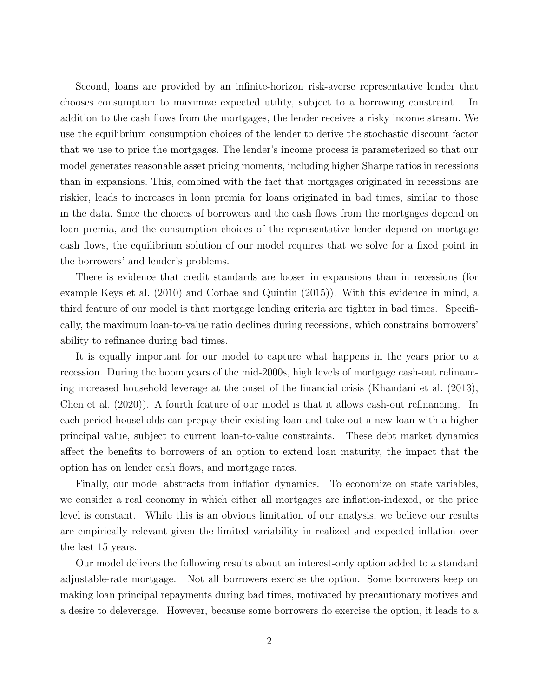Second, loans are provided by an infinite-horizon risk-averse representative lender that chooses consumption to maximize expected utility, subject to a borrowing constraint. In addition to the cash flows from the mortgages, the lender receives a risky income stream. We use the equilibrium consumption choices of the lender to derive the stochastic discount factor that we use to price the mortgages. The lender's income process is parameterized so that our model generates reasonable asset pricing moments, including higher Sharpe ratios in recessions than in expansions. This, combined with the fact that mortgages originated in recessions are riskier, leads to increases in loan premia for loans originated in bad times, similar to those in the data. Since the choices of borrowers and the cash flows from the mortgages depend on loan premia, and the consumption choices of the representative lender depend on mortgage cash flows, the equilibrium solution of our model requires that we solve for a fixed point in the borrowers' and lender's problems.

There is evidence that credit standards are looser in expansions than in recessions (for example Keys et al. (2010) and Corbae and Quintin (2015)). With this evidence in mind, a third feature of our model is that mortgage lending criteria are tighter in bad times. Specifically, the maximum loan-to-value ratio declines during recessions, which constrains borrowers' ability to refinance during bad times.

It is equally important for our model to capture what happens in the years prior to a recession. During the boom years of the mid-2000s, high levels of mortgage cash-out refinancing increased household leverage at the onset of the financial crisis (Khandani et al. (2013), Chen et al. (2020)). A fourth feature of our model is that it allows cash-out refinancing. In each period households can prepay their existing loan and take out a new loan with a higher principal value, subject to current loan-to-value constraints. These debt market dynamics affect the benefits to borrowers of an option to extend loan maturity, the impact that the option has on lender cash flows, and mortgage rates.

Finally, our model abstracts from inflation dynamics. To economize on state variables, we consider a real economy in which either all mortgages are inflation-indexed, or the price level is constant. While this is an obvious limitation of our analysis, we believe our results are empirically relevant given the limited variability in realized and expected inflation over the last 15 years.

Our model delivers the following results about an interest-only option added to a standard adjustable-rate mortgage. Not all borrowers exercise the option. Some borrowers keep on making loan principal repayments during bad times, motivated by precautionary motives and a desire to deleverage. However, because some borrowers do exercise the option, it leads to a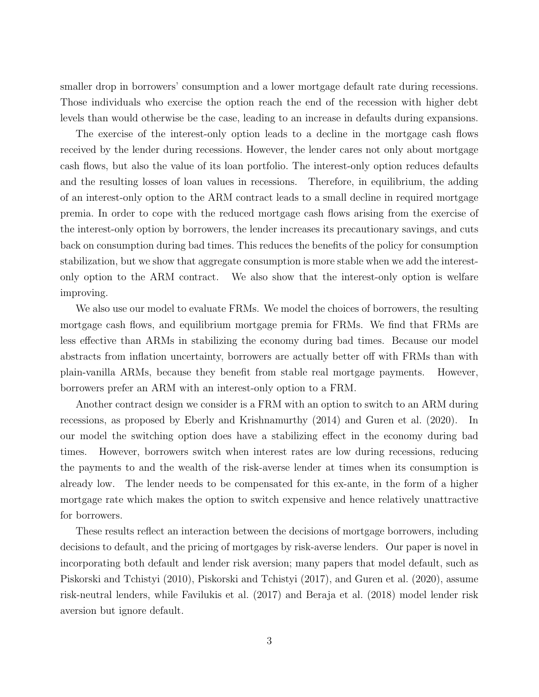smaller drop in borrowers' consumption and a lower mortgage default rate during recessions. Those individuals who exercise the option reach the end of the recession with higher debt levels than would otherwise be the case, leading to an increase in defaults during expansions.

The exercise of the interest-only option leads to a decline in the mortgage cash flows received by the lender during recessions. However, the lender cares not only about mortgage cash flows, but also the value of its loan portfolio. The interest-only option reduces defaults and the resulting losses of loan values in recessions. Therefore, in equilibrium, the adding of an interest-only option to the ARM contract leads to a small decline in required mortgage premia. In order to cope with the reduced mortgage cash flows arising from the exercise of the interest-only option by borrowers, the lender increases its precautionary savings, and cuts back on consumption during bad times. This reduces the benefits of the policy for consumption stabilization, but we show that aggregate consumption is more stable when we add the interestonly option to the ARM contract. We also show that the interest-only option is welfare improving.

We also use our model to evaluate FRMs. We model the choices of borrowers, the resulting mortgage cash flows, and equilibrium mortgage premia for FRMs. We find that FRMs are less effective than ARMs in stabilizing the economy during bad times. Because our model abstracts from inflation uncertainty, borrowers are actually better off with FRMs than with plain-vanilla ARMs, because they benefit from stable real mortgage payments. However, borrowers prefer an ARM with an interest-only option to a FRM.

Another contract design we consider is a FRM with an option to switch to an ARM during recessions, as proposed by Eberly and Krishnamurthy (2014) and Guren et al. (2020). In our model the switching option does have a stabilizing effect in the economy during bad times. However, borrowers switch when interest rates are low during recessions, reducing the payments to and the wealth of the risk-averse lender at times when its consumption is already low. The lender needs to be compensated for this ex-ante, in the form of a higher mortgage rate which makes the option to switch expensive and hence relatively unattractive for borrowers.

These results reflect an interaction between the decisions of mortgage borrowers, including decisions to default, and the pricing of mortgages by risk-averse lenders. Our paper is novel in incorporating both default and lender risk aversion; many papers that model default, such as Piskorski and Tchistyi (2010), Piskorski and Tchistyi (2017), and Guren et al. (2020), assume risk-neutral lenders, while Favilukis et al. (2017) and Beraja et al. (2018) model lender risk aversion but ignore default.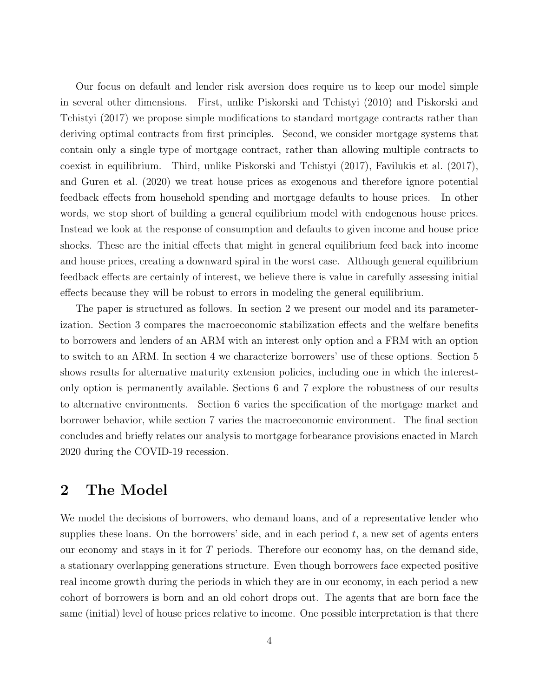Our focus on default and lender risk aversion does require us to keep our model simple in several other dimensions. First, unlike Piskorski and Tchistyi (2010) and Piskorski and Tchistyi (2017) we propose simple modifications to standard mortgage contracts rather than deriving optimal contracts from first principles. Second, we consider mortgage systems that contain only a single type of mortgage contract, rather than allowing multiple contracts to coexist in equilibrium. Third, unlike Piskorski and Tchistyi (2017), Favilukis et al. (2017), and Guren et al. (2020) we treat house prices as exogenous and therefore ignore potential feedback effects from household spending and mortgage defaults to house prices. In other words, we stop short of building a general equilibrium model with endogenous house prices. Instead we look at the response of consumption and defaults to given income and house price shocks. These are the initial effects that might in general equilibrium feed back into income and house prices, creating a downward spiral in the worst case. Although general equilibrium feedback effects are certainly of interest, we believe there is value in carefully assessing initial effects because they will be robust to errors in modeling the general equilibrium.

The paper is structured as follows. In section 2 we present our model and its parameterization. Section 3 compares the macroeconomic stabilization effects and the welfare benefits to borrowers and lenders of an ARM with an interest only option and a FRM with an option to switch to an ARM. In section 4 we characterize borrowers' use of these options. Section 5 shows results for alternative maturity extension policies, including one in which the interestonly option is permanently available. Sections 6 and 7 explore the robustness of our results to alternative environments. Section 6 varies the specification of the mortgage market and borrower behavior, while section 7 varies the macroeconomic environment. The final section concludes and briefly relates our analysis to mortgage forbearance provisions enacted in March 2020 during the COVID-19 recession.

# 2 The Model

We model the decisions of borrowers, who demand loans, and of a representative lender who supplies these loans. On the borrowers' side, and in each period  $t$ , a new set of agents enters our economy and stays in it for T periods. Therefore our economy has, on the demand side, a stationary overlapping generations structure. Even though borrowers face expected positive real income growth during the periods in which they are in our economy, in each period a new cohort of borrowers is born and an old cohort drops out. The agents that are born face the same (initial) level of house prices relative to income. One possible interpretation is that there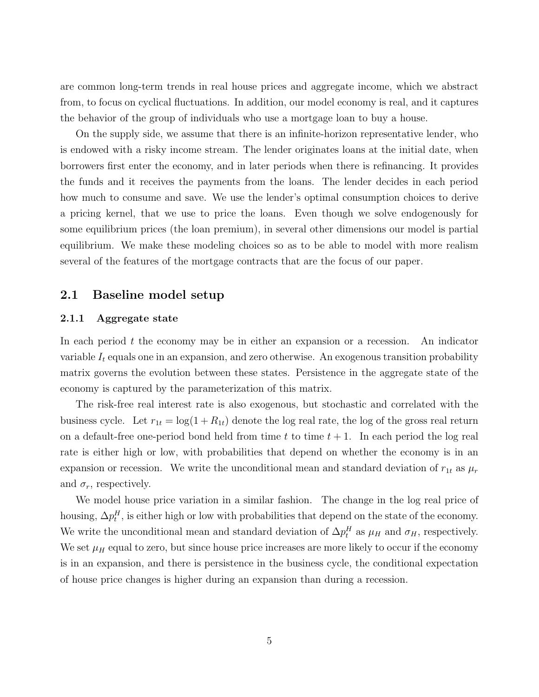are common long-term trends in real house prices and aggregate income, which we abstract from, to focus on cyclical fluctuations. In addition, our model economy is real, and it captures the behavior of the group of individuals who use a mortgage loan to buy a house.

On the supply side, we assume that there is an infinite-horizon representative lender, who is endowed with a risky income stream. The lender originates loans at the initial date, when borrowers first enter the economy, and in later periods when there is refinancing. It provides the funds and it receives the payments from the loans. The lender decides in each period how much to consume and save. We use the lender's optimal consumption choices to derive a pricing kernel, that we use to price the loans. Even though we solve endogenously for some equilibrium prices (the loan premium), in several other dimensions our model is partial equilibrium. We make these modeling choices so as to be able to model with more realism several of the features of the mortgage contracts that are the focus of our paper.

## 2.1 Baseline model setup

#### 2.1.1 Aggregate state

In each period  $t$  the economy may be in either an expansion or a recession. An indicator variable  $I_t$  equals one in an expansion, and zero otherwise. An exogenous transition probability matrix governs the evolution between these states. Persistence in the aggregate state of the economy is captured by the parameterization of this matrix.

The risk-free real interest rate is also exogenous, but stochastic and correlated with the business cycle. Let  $r_{1t} = \log(1 + R_{1t})$  denote the log real rate, the log of the gross real return on a default-free one-period bond held from time t to time  $t + 1$ . In each period the log real rate is either high or low, with probabilities that depend on whether the economy is in an expansion or recession. We write the unconditional mean and standard deviation of  $r_{1t}$  as  $\mu_r$ and  $\sigma_r$ , respectively.

We model house price variation in a similar fashion. The change in the log real price of housing,  $\Delta p_t^H$ , is either high or low with probabilities that depend on the state of the economy. We write the unconditional mean and standard deviation of  $\Delta p_t^H$  as  $\mu_H$  and  $\sigma_H$ , respectively. We set  $\mu_H$  equal to zero, but since house price increases are more likely to occur if the economy is in an expansion, and there is persistence in the business cycle, the conditional expectation of house price changes is higher during an expansion than during a recession.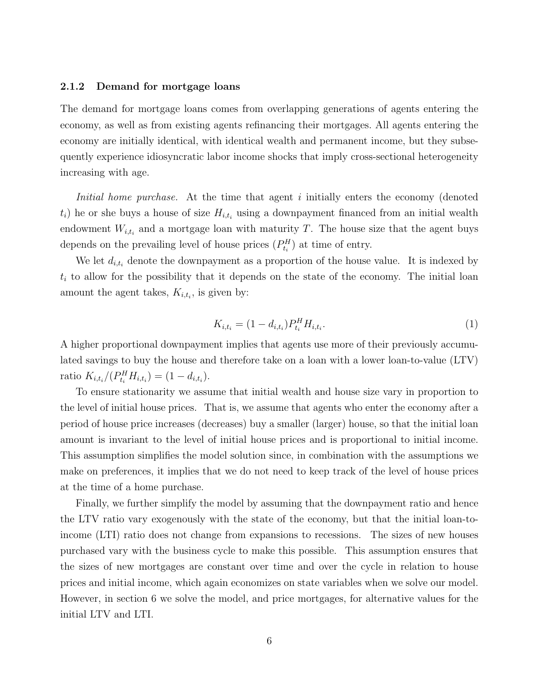#### 2.1.2 Demand for mortgage loans

The demand for mortgage loans comes from overlapping generations of agents entering the economy, as well as from existing agents refinancing their mortgages. All agents entering the economy are initially identical, with identical wealth and permanent income, but they subsequently experience idiosyncratic labor income shocks that imply cross-sectional heterogeneity increasing with age.

Initial home purchase. At the time that agent i initially enters the economy (denoted  $t_i$ ) he or she buys a house of size  $H_{i,t_i}$  using a downpayment financed from an initial wealth endowment  $W_{i,t_i}$  and a mortgage loan with maturity T. The house size that the agent buys depends on the prevailing level of house prices  $(P_{t_i}^H)$  at time of entry.

We let  $d_{i,t_i}$  denote the downpayment as a proportion of the house value. It is indexed by  $t_i$  to allow for the possibility that it depends on the state of the economy. The initial loan amount the agent takes,  $K_{i,t_i}$ , is given by:

$$
K_{i,t_i} = (1 - d_{i,t_i}) P_{t_i}^H H_{i,t_i}.
$$
\n<sup>(1)</sup>

A higher proportional downpayment implies that agents use more of their previously accumulated savings to buy the house and therefore take on a loan with a lower loan-to-value (LTV) ratio  $K_{i,t_i}/(P_{t_i}^H H_{i,t_i}) = (1 - d_{i,t_i}).$ 

To ensure stationarity we assume that initial wealth and house size vary in proportion to the level of initial house prices. That is, we assume that agents who enter the economy after a period of house price increases (decreases) buy a smaller (larger) house, so that the initial loan amount is invariant to the level of initial house prices and is proportional to initial income. This assumption simplifies the model solution since, in combination with the assumptions we make on preferences, it implies that we do not need to keep track of the level of house prices at the time of a home purchase.

Finally, we further simplify the model by assuming that the downpayment ratio and hence the LTV ratio vary exogenously with the state of the economy, but that the initial loan-toincome (LTI) ratio does not change from expansions to recessions. The sizes of new houses purchased vary with the business cycle to make this possible. This assumption ensures that the sizes of new mortgages are constant over time and over the cycle in relation to house prices and initial income, which again economizes on state variables when we solve our model. However, in section 6 we solve the model, and price mortgages, for alternative values for the initial LTV and LTI.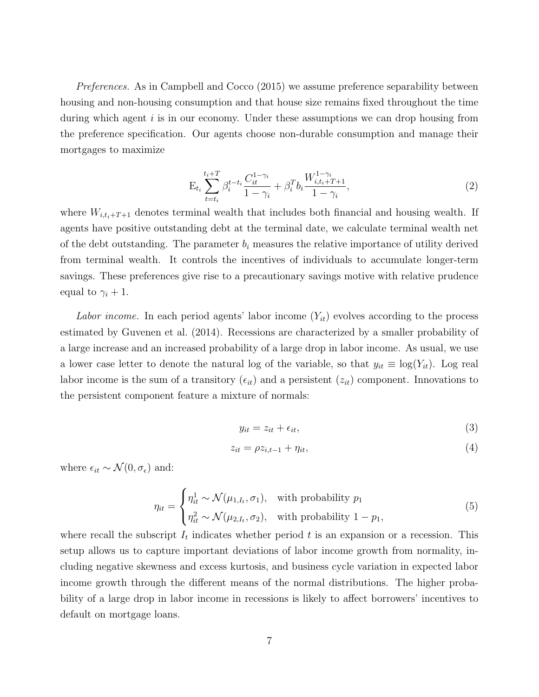Preferences. As in Campbell and Cocco (2015) we assume preference separability between housing and non-housing consumption and that house size remains fixed throughout the time during which agent  $i$  is in our economy. Under these assumptions we can drop housing from the preference specification. Our agents choose non-durable consumption and manage their mortgages to maximize

$$
E_{t_i} \sum_{t=t_i}^{t_i+T} \beta_i^{t-t_i} \frac{C_{it}^{1-\gamma_i}}{1-\gamma_i} + \beta_i^T b_i \frac{W_{i,t_i+T+1}^{1-\gamma_i}}{1-\gamma_i},
$$
\n(2)

where  $W_{i,t_i+T+1}$  denotes terminal wealth that includes both financial and housing wealth. If agents have positive outstanding debt at the terminal date, we calculate terminal wealth net of the debt outstanding. The parameter  $b_i$  measures the relative importance of utility derived from terminal wealth. It controls the incentives of individuals to accumulate longer-term savings. These preferences give rise to a precautionary savings motive with relative prudence equal to  $\gamma_i + 1$ .

Labor income. In each period agents' labor income  $(Y_{it})$  evolves according to the process estimated by Guvenen et al. (2014). Recessions are characterized by a smaller probability of a large increase and an increased probability of a large drop in labor income. As usual, we use a lower case letter to denote the natural log of the variable, so that  $y_{it} \equiv \log(Y_{it})$ . Log real labor income is the sum of a transitory  $(\epsilon_{it})$  and a persistent  $(z_{it})$  component. Innovations to the persistent component feature a mixture of normals:

$$
y_{it} = z_{it} + \epsilon_{it},\tag{3}
$$

$$
z_{it} = \rho z_{i,t-1} + \eta_{it},\tag{4}
$$

where  $\epsilon_{it} \sim \mathcal{N}(0, \sigma_{\epsilon})$  and:

$$
\eta_{it} = \begin{cases} \eta_{it}^1 \sim \mathcal{N}(\mu_{1,I_t}, \sigma_1), & \text{with probability } p_1 \\ \eta_{it}^2 \sim \mathcal{N}(\mu_{2,I_t}, \sigma_2), & \text{with probability } 1 - p_1, \end{cases}
$$
(5)

where recall the subscript  $I_t$  indicates whether period t is an expansion or a recession. This setup allows us to capture important deviations of labor income growth from normality, including negative skewness and excess kurtosis, and business cycle variation in expected labor income growth through the different means of the normal distributions. The higher probability of a large drop in labor income in recessions is likely to affect borrowers' incentives to default on mortgage loans.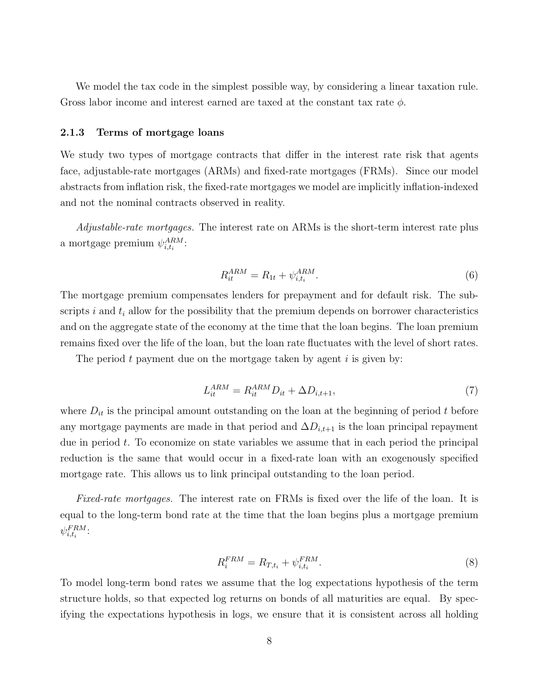We model the tax code in the simplest possible way, by considering a linear taxation rule. Gross labor income and interest earned are taxed at the constant tax rate  $\phi$ .

#### 2.1.3 Terms of mortgage loans

We study two types of mortgage contracts that differ in the interest rate risk that agents face, adjustable-rate mortgages (ARMs) and fixed-rate mortgages (FRMs). Since our model abstracts from inflation risk, the fixed-rate mortgages we model are implicitly inflation-indexed and not the nominal contracts observed in reality.

Adjustable-rate mortgages. The interest rate on ARMs is the short-term interest rate plus a mortgage premium  $\psi^{ARM}_{i,t_i}$ :

$$
R_{it}^{ARM} = R_{1t} + \psi_{i,t_i}^{ARM}.
$$
\n(6)

The mortgage premium compensates lenders for prepayment and for default risk. The subscripts i and  $t_i$  allow for the possibility that the premium depends on borrower characteristics and on the aggregate state of the economy at the time that the loan begins. The loan premium remains fixed over the life of the loan, but the loan rate fluctuates with the level of short rates.

The period t payment due on the mortgage taken by agent  $i$  is given by:

$$
L_{it}^{ARM} = R_{it}^{ARM} D_{it} + \Delta D_{i,t+1},\tag{7}
$$

where  $D_{it}$  is the principal amount outstanding on the loan at the beginning of period t before any mortgage payments are made in that period and  $\Delta D_{i,t+1}$  is the loan principal repayment due in period t. To economize on state variables we assume that in each period the principal reduction is the same that would occur in a fixed-rate loan with an exogenously specified mortgage rate. This allows us to link principal outstanding to the loan period.

Fixed-rate mortgages. The interest rate on FRMs is fixed over the life of the loan. It is equal to the long-term bond rate at the time that the loan begins plus a mortgage premium  $\psi^{FRM}_{i,t_i}$ :

$$
R_i^{FRM} = R_{T,t_i} + \psi_{i,t_i}^{FRM}.
$$
\n
$$
(8)
$$

To model long-term bond rates we assume that the log expectations hypothesis of the term structure holds, so that expected log returns on bonds of all maturities are equal. By specifying the expectations hypothesis in logs, we ensure that it is consistent across all holding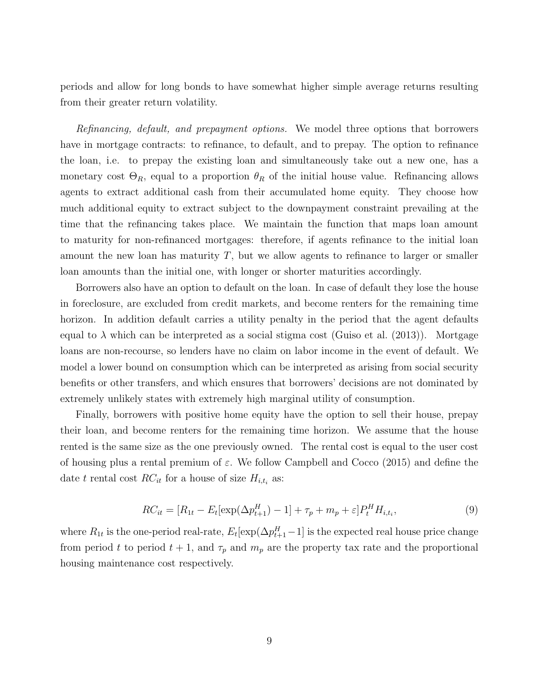periods and allow for long bonds to have somewhat higher simple average returns resulting from their greater return volatility.

Refinancing, default, and prepayment options. We model three options that borrowers have in mortgage contracts: to refinance, to default, and to prepay. The option to refinance the loan, i.e. to prepay the existing loan and simultaneously take out a new one, has a monetary cost  $\Theta_R$ , equal to a proportion  $\theta_R$  of the initial house value. Refinancing allows agents to extract additional cash from their accumulated home equity. They choose how much additional equity to extract subject to the downpayment constraint prevailing at the time that the refinancing takes place. We maintain the function that maps loan amount to maturity for non-refinanced mortgages: therefore, if agents refinance to the initial loan amount the new loan has maturity  $T$ , but we allow agents to refinance to larger or smaller loan amounts than the initial one, with longer or shorter maturities accordingly.

Borrowers also have an option to default on the loan. In case of default they lose the house in foreclosure, are excluded from credit markets, and become renters for the remaining time horizon. In addition default carries a utility penalty in the period that the agent defaults equal to  $\lambda$  which can be interpreted as a social stigma cost (Guiso et al. (2013)). Mortgage loans are non-recourse, so lenders have no claim on labor income in the event of default. We model a lower bound on consumption which can be interpreted as arising from social security benefits or other transfers, and which ensures that borrowers' decisions are not dominated by extremely unlikely states with extremely high marginal utility of consumption.

Finally, borrowers with positive home equity have the option to sell their house, prepay their loan, and become renters for the remaining time horizon. We assume that the house rented is the same size as the one previously owned. The rental cost is equal to the user cost of housing plus a rental premium of  $\varepsilon$ . We follow Campbell and Cocco (2015) and define the date t rental cost  $RC_{it}$  for a house of size  $H_{i,t_i}$  as:

$$
RC_{it} = [R_{1t} - E_t[\exp(\Delta p_{t+1}^H) - 1] + \tau_p + m_p + \varepsilon]P_t^H H_{i,t_i},
$$
\n(9)

where  $R_{1t}$  is the one-period real-rate,  $E_t[\exp(\Delta p_{t+1}^H-1)]$  is the expected real house price change from period t to period  $t + 1$ , and  $\tau_p$  and  $m_p$  are the property tax rate and the proportional housing maintenance cost respectively.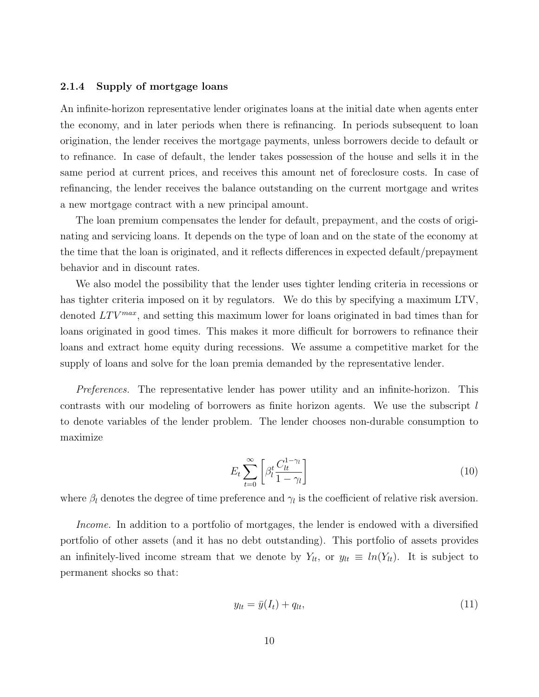#### 2.1.4 Supply of mortgage loans

An infinite-horizon representative lender originates loans at the initial date when agents enter the economy, and in later periods when there is refinancing. In periods subsequent to loan origination, the lender receives the mortgage payments, unless borrowers decide to default or to refinance. In case of default, the lender takes possession of the house and sells it in the same period at current prices, and receives this amount net of foreclosure costs. In case of refinancing, the lender receives the balance outstanding on the current mortgage and writes a new mortgage contract with a new principal amount.

The loan premium compensates the lender for default, prepayment, and the costs of originating and servicing loans. It depends on the type of loan and on the state of the economy at the time that the loan is originated, and it reflects differences in expected default/prepayment behavior and in discount rates.

We also model the possibility that the lender uses tighter lending criteria in recessions or has tighter criteria imposed on it by regulators. We do this by specifying a maximum LTV, denoted  $LTV^{max}$ , and setting this maximum lower for loans originated in bad times than for loans originated in good times. This makes it more difficult for borrowers to refinance their loans and extract home equity during recessions. We assume a competitive market for the supply of loans and solve for the loan premia demanded by the representative lender.

Preferences. The representative lender has power utility and an infinite-horizon. This contrasts with our modeling of borrowers as finite horizon agents. We use the subscript  $l$ to denote variables of the lender problem. The lender chooses non-durable consumption to maximize

$$
E_t \sum_{t=0}^{\infty} \left[ \beta_t^t \frac{C_{lt}^{1-\gamma_l}}{1-\gamma_l} \right]
$$
 (10)

where  $\beta_l$  denotes the degree of time preference and  $\gamma_l$  is the coefficient of relative risk aversion.

Income. In addition to a portfolio of mortgages, the lender is endowed with a diversified portfolio of other assets (and it has no debt outstanding). This portfolio of assets provides an infinitely-lived income stream that we denote by  $Y_{lt}$ , or  $y_{lt} \equiv ln(Y_{lt})$ . It is subject to permanent shocks so that:

$$
y_{lt} = \bar{y}(I_t) + q_{lt},\tag{11}
$$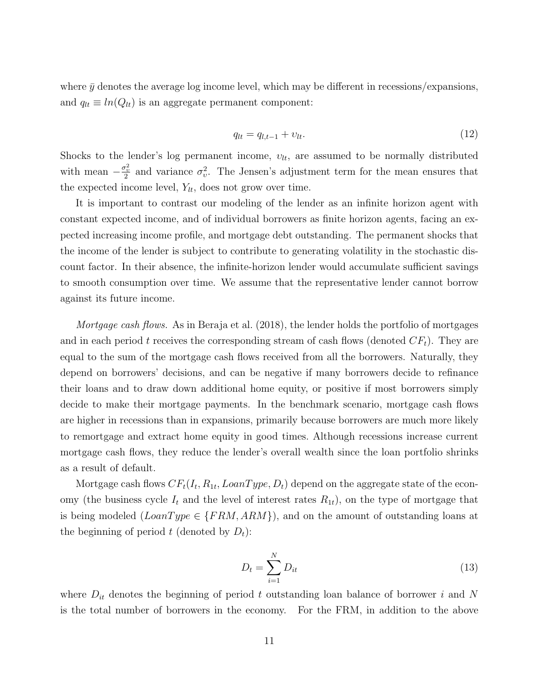where  $\bar{y}$  denotes the average log income level, which may be different in recessions/expansions, and  $q_{lt} \equiv ln(Q_{lt})$  is an aggregate permanent component:

$$
q_{lt} = q_{l,t-1} + v_{lt}.\tag{12}
$$

Shocks to the lender's log permanent income,  $v_{lt}$ , are assumed to be normally distributed with mean  $-\frac{\sigma_v^2}{2}$  and variance  $\sigma_v^2$ . The Jensen's adjustment term for the mean ensures that the expected income level,  $Y_{lt}$ , does not grow over time.

It is important to contrast our modeling of the lender as an infinite horizon agent with constant expected income, and of individual borrowers as finite horizon agents, facing an expected increasing income profile, and mortgage debt outstanding. The permanent shocks that the income of the lender is subject to contribute to generating volatility in the stochastic discount factor. In their absence, the infinite-horizon lender would accumulate sufficient savings to smooth consumption over time. We assume that the representative lender cannot borrow against its future income.

Mortgage cash flows. As in Beraja et al. (2018), the lender holds the portfolio of mortgages and in each period t receives the corresponding stream of cash flows (denoted  $CF<sub>t</sub>$ ). They are equal to the sum of the mortgage cash flows received from all the borrowers. Naturally, they depend on borrowers' decisions, and can be negative if many borrowers decide to refinance their loans and to draw down additional home equity, or positive if most borrowers simply decide to make their mortgage payments. In the benchmark scenario, mortgage cash flows are higher in recessions than in expansions, primarily because borrowers are much more likely to remortgage and extract home equity in good times. Although recessions increase current mortgage cash flows, they reduce the lender's overall wealth since the loan portfolio shrinks as a result of default.

Mortgage cash flows  $CF_t(I_t, R_{1t}, LoanType, D_t)$  depend on the aggregate state of the economy (the business cycle  $I_t$  and the level of interest rates  $R_{1t}$ ), on the type of mortgage that is being modeled  $(LoanType \in \{FRM, ARM\})$ , and on the amount of outstanding loans at the beginning of period t (denoted by  $D_t$ ):

$$
D_t = \sum_{i=1}^{N} D_{it} \tag{13}
$$

where  $D_{it}$  denotes the beginning of period t outstanding loan balance of borrower i and N is the total number of borrowers in the economy. For the FRM, in addition to the above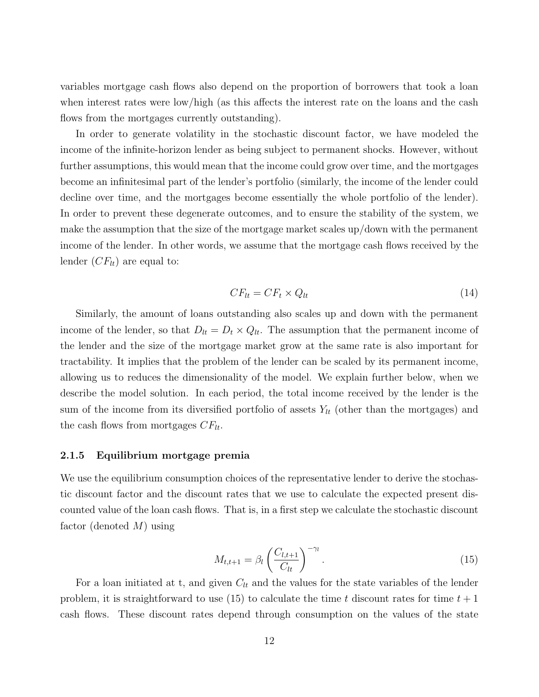variables mortgage cash flows also depend on the proportion of borrowers that took a loan when interest rates were low/high (as this affects the interest rate on the loans and the cash flows from the mortgages currently outstanding).

In order to generate volatility in the stochastic discount factor, we have modeled the income of the infinite-horizon lender as being subject to permanent shocks. However, without further assumptions, this would mean that the income could grow over time, and the mortgages become an infinitesimal part of the lender's portfolio (similarly, the income of the lender could decline over time, and the mortgages become essentially the whole portfolio of the lender). In order to prevent these degenerate outcomes, and to ensure the stability of the system, we make the assumption that the size of the mortgage market scales up/down with the permanent income of the lender. In other words, we assume that the mortgage cash flows received by the lender  $(CF_{lt})$  are equal to:

$$
CF_{lt} = CF_t \times Q_{lt} \tag{14}
$$

Similarly, the amount of loans outstanding also scales up and down with the permanent income of the lender, so that  $D_{lt} = D_t \times Q_{lt}$ . The assumption that the permanent income of the lender and the size of the mortgage market grow at the same rate is also important for tractability. It implies that the problem of the lender can be scaled by its permanent income, allowing us to reduces the dimensionality of the model. We explain further below, when we describe the model solution. In each period, the total income received by the lender is the sum of the income from its diversified portfolio of assets  $Y_{lt}$  (other than the mortgages) and the cash flows from mortgages  $CF_{lt}$ .

#### 2.1.5 Equilibrium mortgage premia

We use the equilibrium consumption choices of the representative lender to derive the stochastic discount factor and the discount rates that we use to calculate the expected present discounted value of the loan cash flows. That is, in a first step we calculate the stochastic discount factor (denoted  $M$ ) using

$$
M_{t,t+1} = \beta_l \left(\frac{C_{l,t+1}}{C_{lt}}\right)^{-\gamma_l}.
$$
\n(15)

For a loan initiated at t, and given  $C_{lt}$  and the values for the state variables of the lender problem, it is straightforward to use (15) to calculate the time t discount rates for time  $t + 1$ cash flows. These discount rates depend through consumption on the values of the state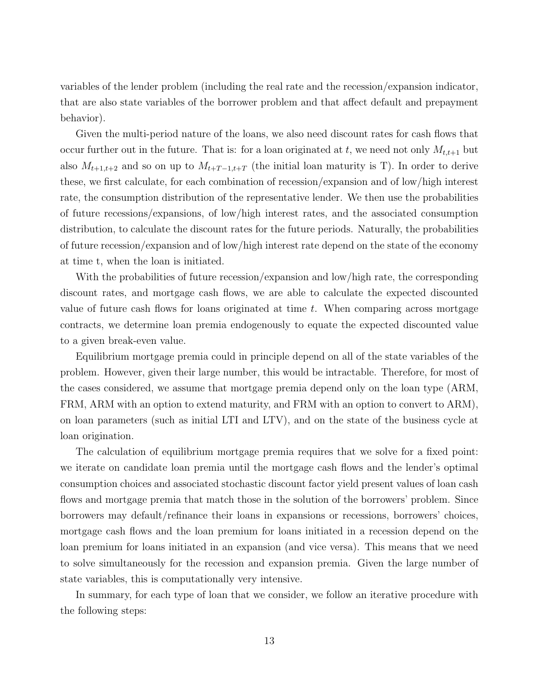variables of the lender problem (including the real rate and the recession/expansion indicator, that are also state variables of the borrower problem and that affect default and prepayment behavior).

Given the multi-period nature of the loans, we also need discount rates for cash flows that occur further out in the future. That is: for a loan originated at t, we need not only  $M_{t,t+1}$  but also  $M_{t+1,t+2}$  and so on up to  $M_{t+T-1,t+T}$  (the initial loan maturity is T). In order to derive these, we first calculate, for each combination of recession/expansion and of low/high interest rate, the consumption distribution of the representative lender. We then use the probabilities of future recessions/expansions, of low/high interest rates, and the associated consumption distribution, to calculate the discount rates for the future periods. Naturally, the probabilities of future recession/expansion and of low/high interest rate depend on the state of the economy at time t, when the loan is initiated.

With the probabilities of future recession/expansion and low/high rate, the corresponding discount rates, and mortgage cash flows, we are able to calculate the expected discounted value of future cash flows for loans originated at time  $t$ . When comparing across mortgage contracts, we determine loan premia endogenously to equate the expected discounted value to a given break-even value.

Equilibrium mortgage premia could in principle depend on all of the state variables of the problem. However, given their large number, this would be intractable. Therefore, for most of the cases considered, we assume that mortgage premia depend only on the loan type (ARM, FRM, ARM with an option to extend maturity, and FRM with an option to convert to ARM), on loan parameters (such as initial LTI and LTV), and on the state of the business cycle at loan origination.

The calculation of equilibrium mortgage premia requires that we solve for a fixed point: we iterate on candidate loan premia until the mortgage cash flows and the lender's optimal consumption choices and associated stochastic discount factor yield present values of loan cash flows and mortgage premia that match those in the solution of the borrowers' problem. Since borrowers may default/refinance their loans in expansions or recessions, borrowers' choices, mortgage cash flows and the loan premium for loans initiated in a recession depend on the loan premium for loans initiated in an expansion (and vice versa). This means that we need to solve simultaneously for the recession and expansion premia. Given the large number of state variables, this is computationally very intensive.

In summary, for each type of loan that we consider, we follow an iterative procedure with the following steps: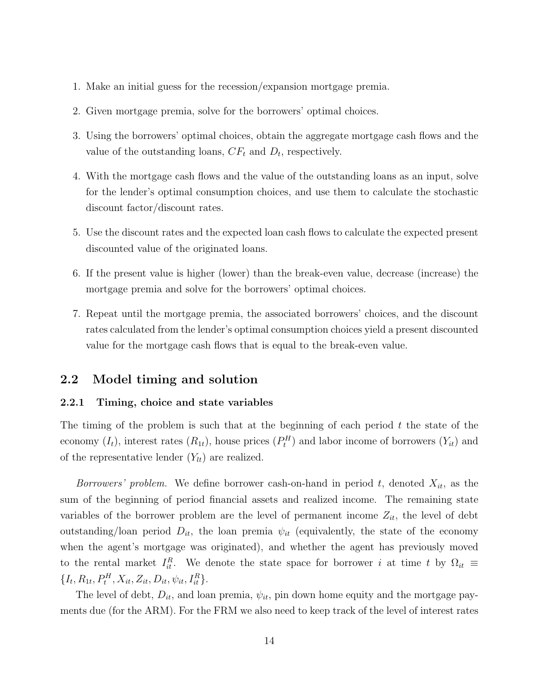- 1. Make an initial guess for the recession/expansion mortgage premia.
- 2. Given mortgage premia, solve for the borrowers' optimal choices.
- 3. Using the borrowers' optimal choices, obtain the aggregate mortgage cash flows and the value of the outstanding loans,  $CF_t$  and  $D_t$ , respectively.
- 4. With the mortgage cash flows and the value of the outstanding loans as an input, solve for the lender's optimal consumption choices, and use them to calculate the stochastic discount factor/discount rates.
- 5. Use the discount rates and the expected loan cash flows to calculate the expected present discounted value of the originated loans.
- 6. If the present value is higher (lower) than the break-even value, decrease (increase) the mortgage premia and solve for the borrowers' optimal choices.
- 7. Repeat until the mortgage premia, the associated borrowers' choices, and the discount rates calculated from the lender's optimal consumption choices yield a present discounted value for the mortgage cash flows that is equal to the break-even value.

# 2.2 Model timing and solution

#### 2.2.1 Timing, choice and state variables

The timing of the problem is such that at the beginning of each period  $t$  the state of the economy  $(I_t)$ , interest rates  $(R_{1t})$ , house prices  $(P_t^H)$  and labor income of borrowers  $(Y_{it})$  and of the representative lender  $(Y_{lt})$  are realized.

Borrowers' problem. We define borrower cash-on-hand in period  $t$ , denoted  $X_{it}$ , as the sum of the beginning of period financial assets and realized income. The remaining state variables of the borrower problem are the level of permanent income  $Z_{it}$ , the level of debt outstanding/loan period  $D_{it}$ , the loan premia  $\psi_{it}$  (equivalently, the state of the economy when the agent's mortgage was originated), and whether the agent has previously moved to the rental market  $I_{it}^R$ . We denote the state space for borrower i at time t by  $\Omega_{it} \equiv$  $\{I_t, R_{1t}, P_t^H, X_{it}, Z_{it}, D_{it}, \psi_{it}, I_{it}^R\}.$ 

The level of debt,  $D_{it}$ , and loan premia,  $\psi_{it}$ , pin down home equity and the mortgage payments due (for the ARM). For the FRM we also need to keep track of the level of interest rates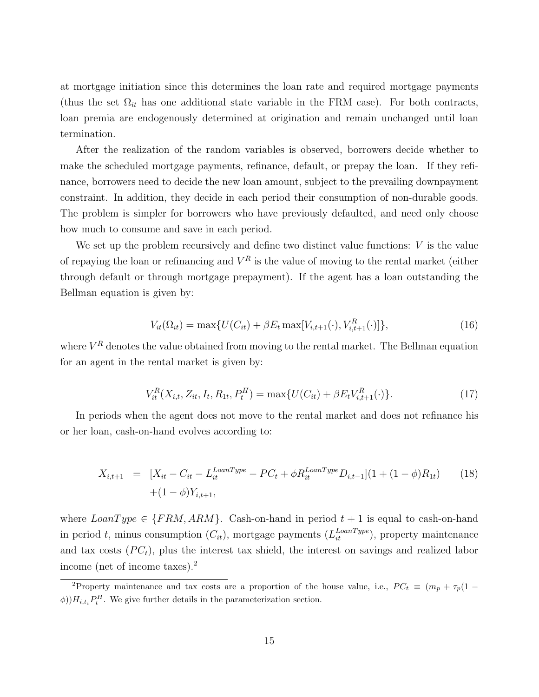at mortgage initiation since this determines the loan rate and required mortgage payments (thus the set  $\Omega_{it}$  has one additional state variable in the FRM case). For both contracts, loan premia are endogenously determined at origination and remain unchanged until loan termination.

After the realization of the random variables is observed, borrowers decide whether to make the scheduled mortgage payments, refinance, default, or prepay the loan. If they refinance, borrowers need to decide the new loan amount, subject to the prevailing downpayment constraint. In addition, they decide in each period their consumption of non-durable goods. The problem is simpler for borrowers who have previously defaulted, and need only choose how much to consume and save in each period.

We set up the problem recursively and define two distinct value functions:  $V$  is the value of repaying the loan or refinancing and  $V^R$  is the value of moving to the rental market (either through default or through mortgage prepayment). If the agent has a loan outstanding the Bellman equation is given by:

$$
V_{it}(\Omega_{it}) = \max\{U(C_{it}) + \beta E_t \max[V_{i,t+1}(\cdot), V_{i,t+1}^R(\cdot)]\},\tag{16}
$$

where  $V^R$  denotes the value obtained from moving to the rental market. The Bellman equation for an agent in the rental market is given by:

$$
V_{it}^{R}(X_{i,t}, Z_{it}, I_t, R_{1t}, P_t^H) = \max\{U(C_{it}) + \beta E_t V_{i,t+1}^R(\cdot)\}.
$$
\n(17)

In periods when the agent does not move to the rental market and does not refinance his or her loan, cash-on-hand evolves according to:

$$
X_{i,t+1} = [X_{it} - C_{it} - L_{it}^{LoanType} - PC_t + \phi R_{it}^{LoanType} D_{i,t-1}] (1 + (1 - \phi)R_{1t}) \qquad (18)
$$

$$
+ (1 - \phi)Y_{i,t+1},
$$

where  $LeanType \in \{FRM, ARM\}$ . Cash-on-hand in period  $t + 1$  is equal to cash-on-hand in period t, minus consumption  $(C_{it})$ , mortgage payments  $(L_{it}^{LoanType})$ , property maintenance and tax costs  $(PC_t)$ , plus the interest tax shield, the interest on savings and realized labor income (net of income taxes).<sup>2</sup>

<sup>&</sup>lt;sup>2</sup>Property maintenance and tax costs are a proportion of the house value, i.e.,  $PC_t \equiv (m_p + \tau_p)(1 \phi$ ) $H_{i,t_i}P_t^H$ . We give further details in the parameterization section.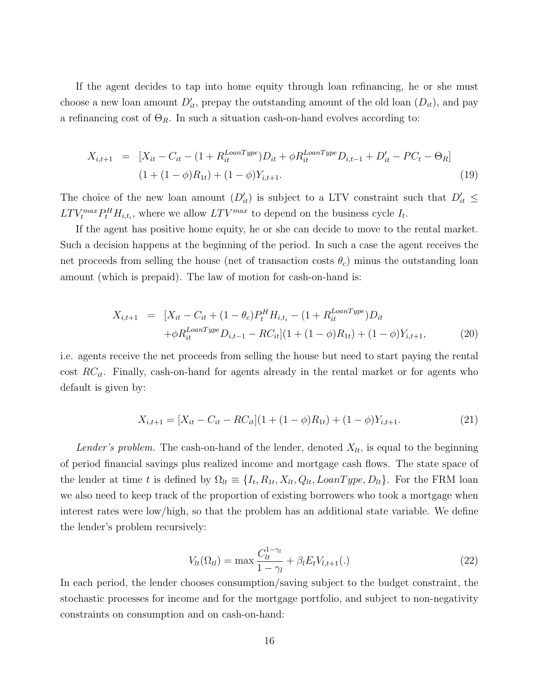If the agent decides to tap into home equity through loan refinancing, he or she must choose a new loan amount  $D'_{it}$ , prepay the outstanding amount of the old loan  $(D_{it})$ , and pay a refinancing cost of  $\Theta_R$ . In such a situation cash-on-hand evolves according to:

$$
X_{i,t+1} = [X_{it} - C_{it} - (1 + R_{it}^{LoanType})D_{it} + \phi R_{it}^{LoanType}D_{i,t-1} + D'_{it} - PC_t - \Theta_R]
$$
  

$$
(1 + (1 - \phi)R_{1t}) + (1 - \phi)Y_{i,t+1}.
$$
 (19)

The choice of the new loan amount  $(D'_{it})$  is subject to a LTV constraint such that  $D'_{it} \leq$  $LTV_t^{max}P_t^H H_{i,t_i}$ , where we allow  $LTV^{max}$  to depend on the business cycle  $I_t$ .

If the agent has positive home equity, he or she can decide to move to the rental market. Such a decision happens at the beginning of the period. In such a case the agent receives the net proceeds from selling the house (net of transaction costs  $\theta_c$ ) minus the outstanding loan amount (which is prepaid). The law of motion for cash-on-hand is:

$$
X_{i,t+1} = [X_{it} - C_{it} + (1 - \theta_c)P_t^H H_{i,t_i} - (1 + R_{it}^{LoanType})D_{it}
$$
  
+  $\phi R_{it}^{LoanType} D_{i,t-1} - RC_{it}[(1 + (1 - \phi)R_{1t}) + (1 - \phi)Y_{i,t+1},$  (20)

i.e. agents receive the net proceeds from selling the house but need to start paying the rental cost  $RC_{it}$ . Finally, cash-on-hand for agents already in the rental market or for agents who default is given by:

$$
X_{i,t+1} = [X_{it} - C_{it} - RC_{it}](1 + (1 - \phi)R_{1t}) + (1 - \phi)Y_{i,t+1}.
$$
\n(21)

Lender's problem. The cash-on-hand of the lender, denoted  $X_{lt}$ , is equal to the beginning of period financial savings plus realized income and mortgage cash flows. The state space of the lender at time t is defined by  $\Omega_{tt} \equiv \{I_t, R_{1t}, X_{lt}, Q_{lt}, LoanType, D_{lt}\}.$  For the FRM loan we also need to keep track of the proportion of existing borrowers who took a mortgage when interest rates were low/high, so that the problem has an additional state variable. We define the lender's problem recursively:

$$
V_{lt}(\Omega_{tl}) = \max \frac{C_{lt}^{1-\gamma_l}}{1-\gamma_l} + \beta_l E_t V_{l,t+1}(.)
$$
\n(22)

In each period, the lender chooses consumption/saving subject to the budget constraint, the stochastic processes for income and for the mortgage portfolio, and subject to non-negativity constraints on consumption and on cash-on-hand: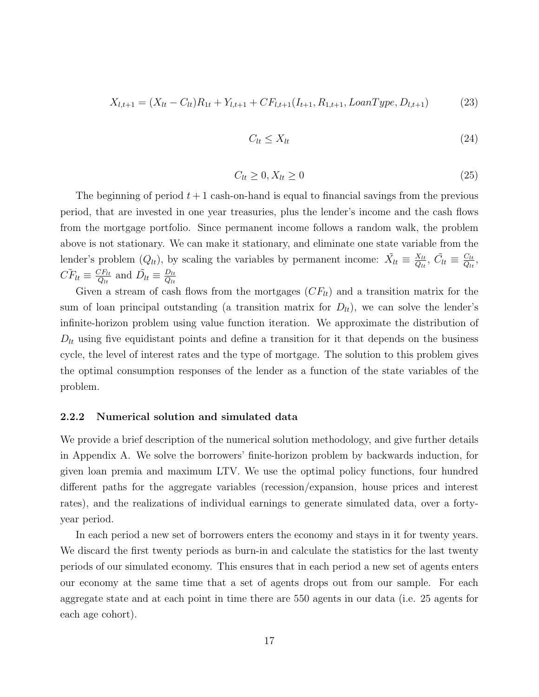$$
X_{l,t+1} = (X_{lt} - C_{lt})R_{1t} + Y_{l,t+1} + CF_{l,t+1}(I_{t+1}, R_{1,t+1}, LoanType, D_{l,t+1})
$$
(23)

$$
C_{lt} \le X_{lt} \tag{24}
$$

$$
C_{lt} \ge 0, X_{lt} \ge 0 \tag{25}
$$

The beginning of period  $t + 1$  cash-on-hand is equal to financial savings from the previous period, that are invested in one year treasuries, plus the lender's income and the cash flows from the mortgage portfolio. Since permanent income follows a random walk, the problem above is not stationary. We can make it stationary, and eliminate one state variable from the lender's problem  $(Q_{lt})$ , by scaling the variables by permanent income:  $\tilde{X}_{lt} \equiv \frac{X_{lt}}{Q_{lt}}$  $\frac{X_{lt}}{Q_{lt}}$ ,  $\tilde{C}_{lt} \equiv \frac{C_{lt}}{Q_{lt}}$  $\frac{C_{lt}}{Q_{lt}},$  $\tilde{CF}_{lt} \equiv \frac{CF_{lt}}{O_{lt}}$  $\frac{CF_{lt}}{Q_{lt}}$  and  $\tilde{D}_{lt} \equiv \frac{D_{lt}}{Q_{lt}}$  $Q_{lt}$ 

Given a stream of cash flows from the mortgages  $(CF_{lt})$  and a transition matrix for the sum of loan principal outstanding (a transition matrix for  $D_{lt}$ ), we can solve the lender's infinite-horizon problem using value function iteration. We approximate the distribution of  $D_{lt}$  using five equidistant points and define a transition for it that depends on the business cycle, the level of interest rates and the type of mortgage. The solution to this problem gives the optimal consumption responses of the lender as a function of the state variables of the problem.

#### 2.2.2 Numerical solution and simulated data

We provide a brief description of the numerical solution methodology, and give further details in Appendix A. We solve the borrowers' finite-horizon problem by backwards induction, for given loan premia and maximum LTV. We use the optimal policy functions, four hundred different paths for the aggregate variables (recession/expansion, house prices and interest rates), and the realizations of individual earnings to generate simulated data, over a fortyyear period.

In each period a new set of borrowers enters the economy and stays in it for twenty years. We discard the first twenty periods as burn-in and calculate the statistics for the last twenty periods of our simulated economy. This ensures that in each period a new set of agents enters our economy at the same time that a set of agents drops out from our sample. For each aggregate state and at each point in time there are 550 agents in our data (i.e. 25 agents for each age cohort).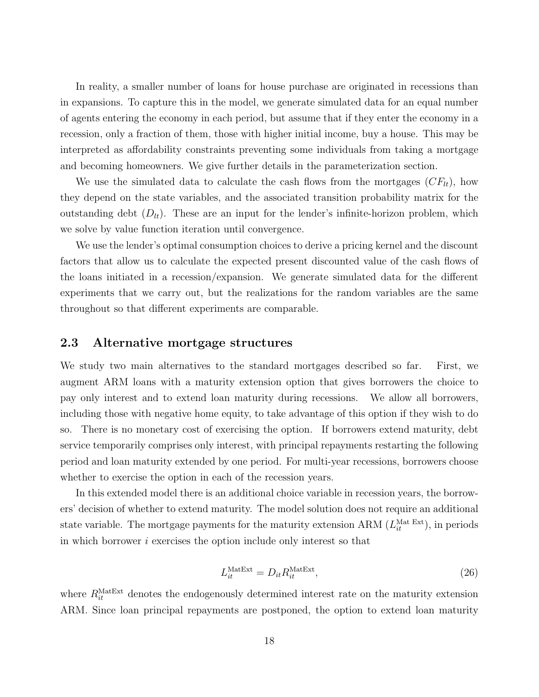In reality, a smaller number of loans for house purchase are originated in recessions than in expansions. To capture this in the model, we generate simulated data for an equal number of agents entering the economy in each period, but assume that if they enter the economy in a recession, only a fraction of them, those with higher initial income, buy a house. This may be interpreted as affordability constraints preventing some individuals from taking a mortgage and becoming homeowners. We give further details in the parameterization section.

We use the simulated data to calculate the cash flows from the mortgages  $(CF_{lt})$ , how they depend on the state variables, and the associated transition probability matrix for the outstanding debt  $(D_{tt})$ . These are an input for the lender's infinite-horizon problem, which we solve by value function iteration until convergence.

We use the lender's optimal consumption choices to derive a pricing kernel and the discount factors that allow us to calculate the expected present discounted value of the cash flows of the loans initiated in a recession/expansion. We generate simulated data for the different experiments that we carry out, but the realizations for the random variables are the same throughout so that different experiments are comparable.

# 2.3 Alternative mortgage structures

We study two main alternatives to the standard mortgages described so far. First, we augment ARM loans with a maturity extension option that gives borrowers the choice to pay only interest and to extend loan maturity during recessions. We allow all borrowers, including those with negative home equity, to take advantage of this option if they wish to do so. There is no monetary cost of exercising the option. If borrowers extend maturity, debt service temporarily comprises only interest, with principal repayments restarting the following period and loan maturity extended by one period. For multi-year recessions, borrowers choose whether to exercise the option in each of the recession years.

In this extended model there is an additional choice variable in recession years, the borrowers' decision of whether to extend maturity. The model solution does not require an additional state variable. The mortgage payments for the maturity extension ARM  $(L_{it}^{\text{Mat Ext}})$ , in periods in which borrower  $i$  exercises the option include only interest so that

$$
L_{it}^{\text{MatExt}} = D_{it} R_{it}^{\text{MatExt}},\tag{26}
$$

where  $R_{it}^{\text{MatExt}}$  denotes the endogenously determined interest rate on the maturity extension ARM. Since loan principal repayments are postponed, the option to extend loan maturity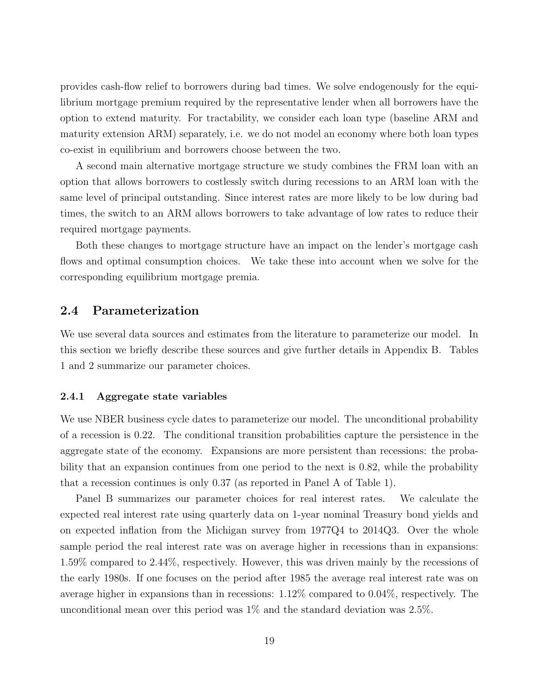provides cash-flow relief to borrowers during bad times. We solve endogenously for the equilibrium mortgage premium required by the representative lender when all borrowers have the option to extend maturity. For tractability, we consider each loan type (baseline ARM and maturity extension ARM) separately, i.e. we do not model an economy where both loan types co-exist in equilibrium and borrowers choose between the two.

A second main alternative mortgage structure we study combines the FRM loan with an option that allows borrowers to costlessly switch during recessions to an ARM loan with the same level of principal outstanding. Since interest rates are more likely to be low during bad times, the switch to an ARM allows borrowers to take advantage of low rates to reduce their required mortgage payments.

Both these changes to mortgage structure have an impact on the lender's mortgage cash flows and optimal consumption choices. We take these into account when we solve for the corresponding equilibrium mortgage premia.

# 2.4 Parameterization

We use several data sources and estimates from the literature to parameterize our model. In this section we briefly describe these sources and give further details in Appendix B. Tables 1 and 2 summarize our parameter choices.

#### 2.4.1 Aggregate state variables

We use NBER business cycle dates to parameterize our model. The unconditional probability of a recession is 0.22. The conditional transition probabilities capture the persistence in the aggregate state of the economy. Expansions are more persistent than recessions: the probability that an expansion continues from one period to the next is 0.82, while the probability that a recession continues is only 0.37 (as reported in Panel A of Table 1).

Panel B summarizes our parameter choices for real interest rates. We calculate the expected real interest rate using quarterly data on 1-year nominal Treasury bond yields and on expected inflation from the Michigan survey from 1977Q4 to 2014Q3. Over the whole sample period the real interest rate was on average higher in recessions than in expansions: 1.59% compared to 2.44%, respectively. However, this was driven mainly by the recessions of the early 1980s. If one focuses on the period after 1985 the average real interest rate was on average higher in expansions than in recessions: 1.12% compared to 0.04%, respectively. The unconditional mean over this period was 1% and the standard deviation was 2.5%.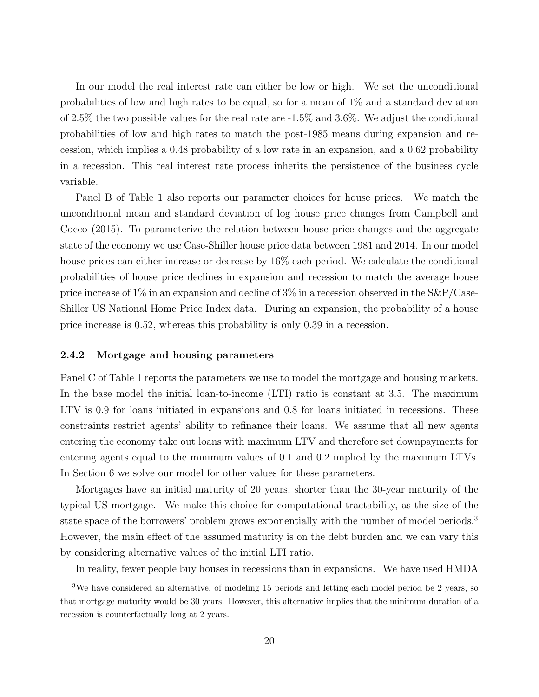In our model the real interest rate can either be low or high. We set the unconditional probabilities of low and high rates to be equal, so for a mean of 1% and a standard deviation of 2.5% the two possible values for the real rate are -1.5% and 3.6%. We adjust the conditional probabilities of low and high rates to match the post-1985 means during expansion and recession, which implies a 0.48 probability of a low rate in an expansion, and a 0.62 probability in a recession. This real interest rate process inherits the persistence of the business cycle variable.

Panel B of Table 1 also reports our parameter choices for house prices. We match the unconditional mean and standard deviation of log house price changes from Campbell and Cocco (2015). To parameterize the relation between house price changes and the aggregate state of the economy we use Case-Shiller house price data between 1981 and 2014. In our model house prices can either increase or decrease by  $16\%$  each period. We calculate the conditional probabilities of house price declines in expansion and recession to match the average house price increase of  $1\%$  in an expansion and decline of  $3\%$  in a recession observed in the S&P/Case-Shiller US National Home Price Index data. During an expansion, the probability of a house price increase is 0.52, whereas this probability is only 0.39 in a recession.

#### 2.4.2 Mortgage and housing parameters

Panel C of Table 1 reports the parameters we use to model the mortgage and housing markets. In the base model the initial loan-to-income (LTI) ratio is constant at 3.5. The maximum LTV is 0.9 for loans initiated in expansions and 0.8 for loans initiated in recessions. These constraints restrict agents' ability to refinance their loans. We assume that all new agents entering the economy take out loans with maximum LTV and therefore set downpayments for entering agents equal to the minimum values of 0.1 and 0.2 implied by the maximum LTVs. In Section 6 we solve our model for other values for these parameters.

Mortgages have an initial maturity of 20 years, shorter than the 30-year maturity of the typical US mortgage. We make this choice for computational tractability, as the size of the state space of the borrowers' problem grows exponentially with the number of model periods.<sup>3</sup> However, the main effect of the assumed maturity is on the debt burden and we can vary this by considering alternative values of the initial LTI ratio.

In reality, fewer people buy houses in recessions than in expansions. We have used HMDA

<sup>&</sup>lt;sup>3</sup>We have considered an alternative, of modeling 15 periods and letting each model period be 2 years, so that mortgage maturity would be 30 years. However, this alternative implies that the minimum duration of a recession is counterfactually long at 2 years.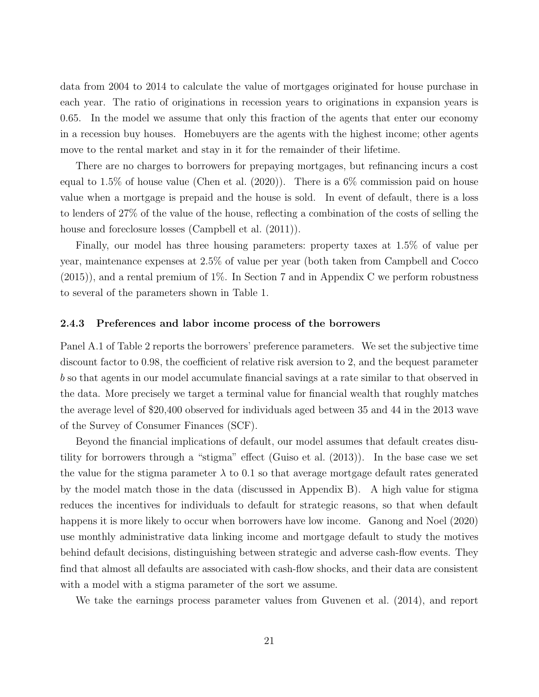data from 2004 to 2014 to calculate the value of mortgages originated for house purchase in each year. The ratio of originations in recession years to originations in expansion years is 0.65. In the model we assume that only this fraction of the agents that enter our economy in a recession buy houses. Homebuyers are the agents with the highest income; other agents move to the rental market and stay in it for the remainder of their lifetime.

There are no charges to borrowers for prepaying mortgages, but refinancing incurs a cost equal to 1.5% of house value (Chen et al. (2020)). There is a 6% commission paid on house value when a mortgage is prepaid and the house is sold. In event of default, there is a loss to lenders of 27% of the value of the house, reflecting a combination of the costs of selling the house and foreclosure losses (Campbell et al.  $(2011)$ ).

Finally, our model has three housing parameters: property taxes at 1.5% of value per year, maintenance expenses at 2.5% of value per year (both taken from Campbell and Cocco (2015)), and a rental premium of 1%. In Section 7 and in Appendix C we perform robustness to several of the parameters shown in Table 1.

#### 2.4.3 Preferences and labor income process of the borrowers

Panel A.1 of Table 2 reports the borrowers' preference parameters. We set the subjective time discount factor to 0.98, the coefficient of relative risk aversion to 2, and the bequest parameter b so that agents in our model accumulate financial savings at a rate similar to that observed in the data. More precisely we target a terminal value for financial wealth that roughly matches the average level of \$20,400 observed for individuals aged between 35 and 44 in the 2013 wave of the Survey of Consumer Finances (SCF).

Beyond the financial implications of default, our model assumes that default creates disutility for borrowers through a "stigma" effect (Guiso et al. (2013)). In the base case we set the value for the stigma parameter  $\lambda$  to 0.1 so that average mortgage default rates generated by the model match those in the data (discussed in Appendix B). A high value for stigma reduces the incentives for individuals to default for strategic reasons, so that when default happens it is more likely to occur when borrowers have low income. Ganong and Noel (2020) use monthly administrative data linking income and mortgage default to study the motives behind default decisions, distinguishing between strategic and adverse cash-flow events. They find that almost all defaults are associated with cash-flow shocks, and their data are consistent with a model with a stigma parameter of the sort we assume.

We take the earnings process parameter values from Guvenen et al. (2014), and report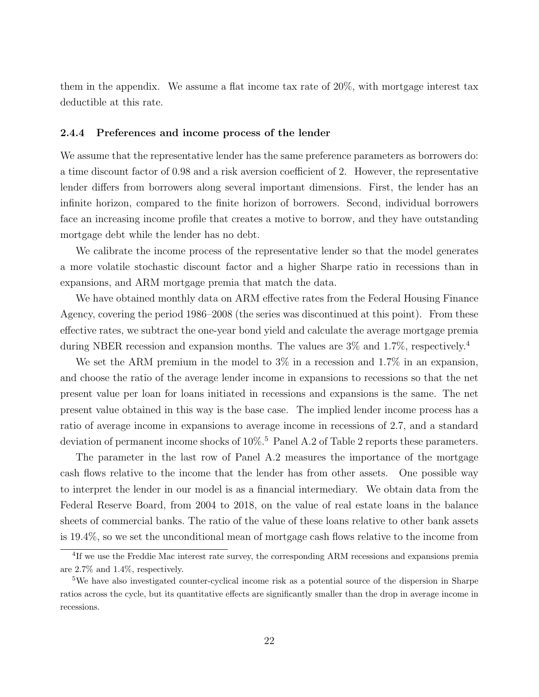them in the appendix. We assume a flat income tax rate of 20%, with mortgage interest tax deductible at this rate.

#### 2.4.4 Preferences and income process of the lender

We assume that the representative lender has the same preference parameters as borrowers do: a time discount factor of 0.98 and a risk aversion coefficient of 2. However, the representative lender differs from borrowers along several important dimensions. First, the lender has an infinite horizon, compared to the finite horizon of borrowers. Second, individual borrowers face an increasing income profile that creates a motive to borrow, and they have outstanding mortgage debt while the lender has no debt.

We calibrate the income process of the representative lender so that the model generates a more volatile stochastic discount factor and a higher Sharpe ratio in recessions than in expansions, and ARM mortgage premia that match the data.

We have obtained monthly data on ARM effective rates from the Federal Housing Finance Agency, covering the period 1986–2008 (the series was discontinued at this point). From these effective rates, we subtract the one-year bond yield and calculate the average mortgage premia during NBER recession and expansion months. The values are 3% and 1.7%, respectively.<sup>4</sup>

We set the ARM premium in the model to  $3\%$  in a recession and 1.7% in an expansion, and choose the ratio of the average lender income in expansions to recessions so that the net present value per loan for loans initiated in recessions and expansions is the same. The net present value obtained in this way is the base case. The implied lender income process has a ratio of average income in expansions to average income in recessions of 2.7, and a standard deviation of permanent income shocks of  $10\%$ <sup>5</sup> Panel A.2 of Table 2 reports these parameters.

The parameter in the last row of Panel A.2 measures the importance of the mortgage cash flows relative to the income that the lender has from other assets. One possible way to interpret the lender in our model is as a financial intermediary. We obtain data from the Federal Reserve Board, from 2004 to 2018, on the value of real estate loans in the balance sheets of commercial banks. The ratio of the value of these loans relative to other bank assets is 19.4%, so we set the unconditional mean of mortgage cash flows relative to the income from

<sup>&</sup>lt;sup>4</sup>If we use the Freddie Mac interest rate survey, the corresponding ARM recessions and expansions premia are 2.7% and 1.4%, respectively.

<sup>&</sup>lt;sup>5</sup>We have also investigated counter-cyclical income risk as a potential source of the dispersion in Sharpe ratios across the cycle, but its quantitative effects are significantly smaller than the drop in average income in recessions.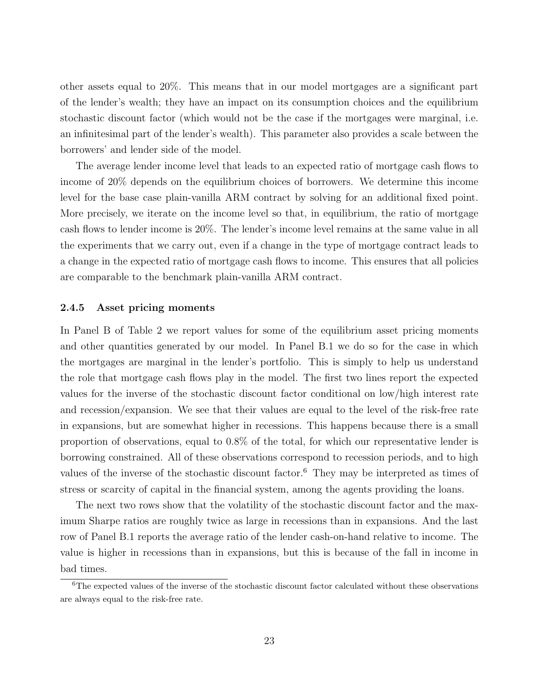other assets equal to 20%. This means that in our model mortgages are a significant part of the lender's wealth; they have an impact on its consumption choices and the equilibrium stochastic discount factor (which would not be the case if the mortgages were marginal, i.e. an infinitesimal part of the lender's wealth). This parameter also provides a scale between the borrowers' and lender side of the model.

The average lender income level that leads to an expected ratio of mortgage cash flows to income of 20% depends on the equilibrium choices of borrowers. We determine this income level for the base case plain-vanilla ARM contract by solving for an additional fixed point. More precisely, we iterate on the income level so that, in equilibrium, the ratio of mortgage cash flows to lender income is 20%. The lender's income level remains at the same value in all the experiments that we carry out, even if a change in the type of mortgage contract leads to a change in the expected ratio of mortgage cash flows to income. This ensures that all policies are comparable to the benchmark plain-vanilla ARM contract.

#### 2.4.5 Asset pricing moments

In Panel B of Table 2 we report values for some of the equilibrium asset pricing moments and other quantities generated by our model. In Panel B.1 we do so for the case in which the mortgages are marginal in the lender's portfolio. This is simply to help us understand the role that mortgage cash flows play in the model. The first two lines report the expected values for the inverse of the stochastic discount factor conditional on low/high interest rate and recession/expansion. We see that their values are equal to the level of the risk-free rate in expansions, but are somewhat higher in recessions. This happens because there is a small proportion of observations, equal to 0.8% of the total, for which our representative lender is borrowing constrained. All of these observations correspond to recession periods, and to high values of the inverse of the stochastic discount factor.<sup>6</sup> They may be interpreted as times of stress or scarcity of capital in the financial system, among the agents providing the loans.

The next two rows show that the volatility of the stochastic discount factor and the maximum Sharpe ratios are roughly twice as large in recessions than in expansions. And the last row of Panel B.1 reports the average ratio of the lender cash-on-hand relative to income. The value is higher in recessions than in expansions, but this is because of the fall in income in bad times.

 $6$ The expected values of the inverse of the stochastic discount factor calculated without these observations are always equal to the risk-free rate.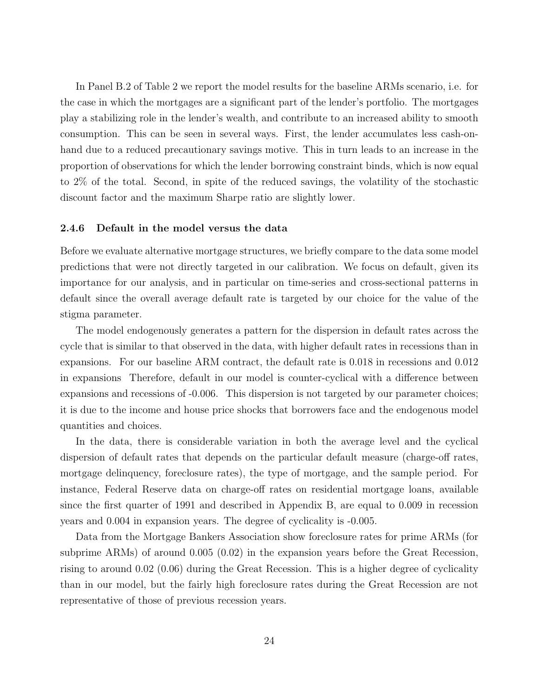In Panel B.2 of Table 2 we report the model results for the baseline ARMs scenario, i.e. for the case in which the mortgages are a significant part of the lender's portfolio. The mortgages play a stabilizing role in the lender's wealth, and contribute to an increased ability to smooth consumption. This can be seen in several ways. First, the lender accumulates less cash-onhand due to a reduced precautionary savings motive. This in turn leads to an increase in the proportion of observations for which the lender borrowing constraint binds, which is now equal to 2% of the total. Second, in spite of the reduced savings, the volatility of the stochastic discount factor and the maximum Sharpe ratio are slightly lower.

#### 2.4.6 Default in the model versus the data

Before we evaluate alternative mortgage structures, we briefly compare to the data some model predictions that were not directly targeted in our calibration. We focus on default, given its importance for our analysis, and in particular on time-series and cross-sectional patterns in default since the overall average default rate is targeted by our choice for the value of the stigma parameter.

The model endogenously generates a pattern for the dispersion in default rates across the cycle that is similar to that observed in the data, with higher default rates in recessions than in expansions. For our baseline ARM contract, the default rate is 0.018 in recessions and 0.012 in expansions Therefore, default in our model is counter-cyclical with a difference between expansions and recessions of -0.006. This dispersion is not targeted by our parameter choices; it is due to the income and house price shocks that borrowers face and the endogenous model quantities and choices.

In the data, there is considerable variation in both the average level and the cyclical dispersion of default rates that depends on the particular default measure (charge-off rates, mortgage delinquency, foreclosure rates), the type of mortgage, and the sample period. For instance, Federal Reserve data on charge-off rates on residential mortgage loans, available since the first quarter of 1991 and described in Appendix B, are equal to 0.009 in recession years and 0.004 in expansion years. The degree of cyclicality is -0.005.

Data from the Mortgage Bankers Association show foreclosure rates for prime ARMs (for subprime ARMs) of around 0.005 (0.02) in the expansion years before the Great Recession, rising to around 0.02 (0.06) during the Great Recession. This is a higher degree of cyclicality than in our model, but the fairly high foreclosure rates during the Great Recession are not representative of those of previous recession years.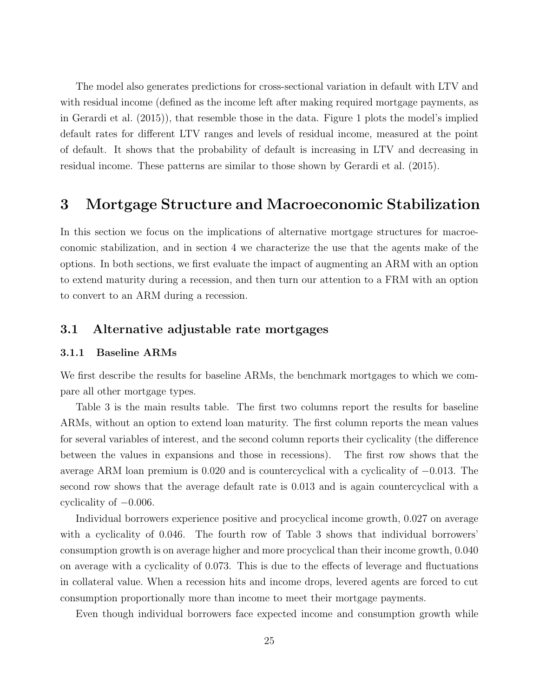The model also generates predictions for cross-sectional variation in default with LTV and with residual income (defined as the income left after making required mortgage payments, as in Gerardi et al. (2015)), that resemble those in the data. Figure 1 plots the model's implied default rates for different LTV ranges and levels of residual income, measured at the point of default. It shows that the probability of default is increasing in LTV and decreasing in residual income. These patterns are similar to those shown by Gerardi et al. (2015).

# 3 Mortgage Structure and Macroeconomic Stabilization

In this section we focus on the implications of alternative mortgage structures for macroeconomic stabilization, and in section 4 we characterize the use that the agents make of the options. In both sections, we first evaluate the impact of augmenting an ARM with an option to extend maturity during a recession, and then turn our attention to a FRM with an option to convert to an ARM during a recession.

# 3.1 Alternative adjustable rate mortgages

### 3.1.1 Baseline ARMs

We first describe the results for baseline ARMs, the benchmark mortgages to which we compare all other mortgage types.

Table 3 is the main results table. The first two columns report the results for baseline ARMs, without an option to extend loan maturity. The first column reports the mean values for several variables of interest, and the second column reports their cyclicality (the difference between the values in expansions and those in recessions). The first row shows that the average ARM loan premium is 0.020 and is countercyclical with a cyclicality of −0.013. The second row shows that the average default rate is 0.013 and is again countercyclical with a cyclicality of  $-0.006$ .

Individual borrowers experience positive and procyclical income growth, 0.027 on average with a cyclicality of 0.046. The fourth row of Table 3 shows that individual borrowers' consumption growth is on average higher and more procyclical than their income growth, 0.040 on average with a cyclicality of 0.073. This is due to the effects of leverage and fluctuations in collateral value. When a recession hits and income drops, levered agents are forced to cut consumption proportionally more than income to meet their mortgage payments.

Even though individual borrowers face expected income and consumption growth while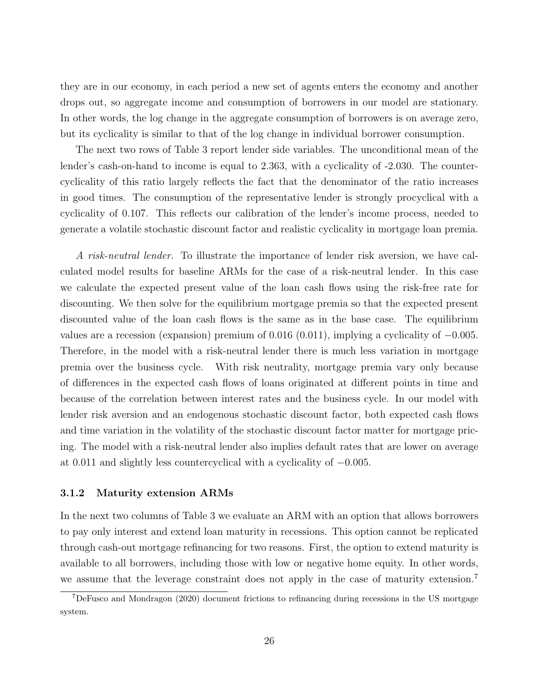they are in our economy, in each period a new set of agents enters the economy and another drops out, so aggregate income and consumption of borrowers in our model are stationary. In other words, the log change in the aggregate consumption of borrowers is on average zero, but its cyclicality is similar to that of the log change in individual borrower consumption.

The next two rows of Table 3 report lender side variables. The unconditional mean of the lender's cash-on-hand to income is equal to 2.363, with a cyclicality of -2.030. The countercyclicality of this ratio largely reflects the fact that the denominator of the ratio increases in good times. The consumption of the representative lender is strongly procyclical with a cyclicality of 0.107. This reflects our calibration of the lender's income process, needed to generate a volatile stochastic discount factor and realistic cyclicality in mortgage loan premia.

A risk-neutral lender. To illustrate the importance of lender risk aversion, we have calculated model results for baseline ARMs for the case of a risk-neutral lender. In this case we calculate the expected present value of the loan cash flows using the risk-free rate for discounting. We then solve for the equilibrium mortgage premia so that the expected present discounted value of the loan cash flows is the same as in the base case. The equilibrium values are a recession (expansion) premium of  $0.016$  (0.011), implying a cyclicality of  $-0.005$ . Therefore, in the model with a risk-neutral lender there is much less variation in mortgage premia over the business cycle. With risk neutrality, mortgage premia vary only because of differences in the expected cash flows of loans originated at different points in time and because of the correlation between interest rates and the business cycle. In our model with lender risk aversion and an endogenous stochastic discount factor, both expected cash flows and time variation in the volatility of the stochastic discount factor matter for mortgage pricing. The model with a risk-neutral lender also implies default rates that are lower on average at 0.011 and slightly less countercyclical with a cyclicality of −0.005.

### 3.1.2 Maturity extension ARMs

In the next two columns of Table 3 we evaluate an ARM with an option that allows borrowers to pay only interest and extend loan maturity in recessions. This option cannot be replicated through cash-out mortgage refinancing for two reasons. First, the option to extend maturity is available to all borrowers, including those with low or negative home equity. In other words, we assume that the leverage constraint does not apply in the case of maturity extension.<sup>7</sup>

<sup>7</sup>DeFusco and Mondragon (2020) document frictions to refinancing during recessions in the US mortgage system.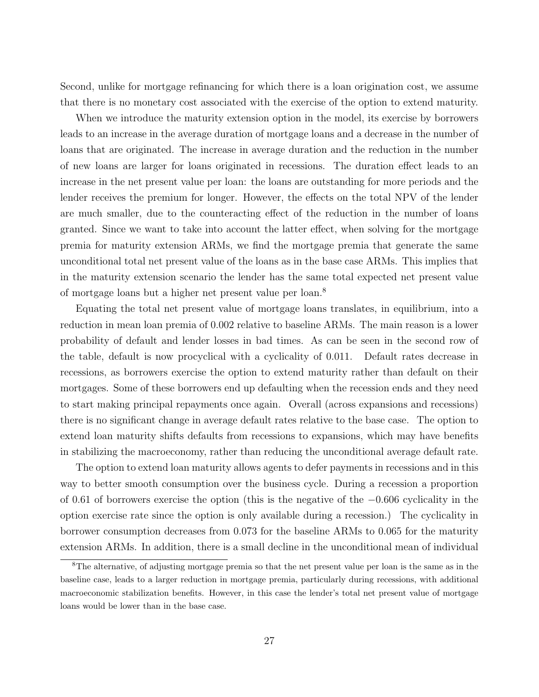Second, unlike for mortgage refinancing for which there is a loan origination cost, we assume that there is no monetary cost associated with the exercise of the option to extend maturity.

When we introduce the maturity extension option in the model, its exercise by borrowers leads to an increase in the average duration of mortgage loans and a decrease in the number of loans that are originated. The increase in average duration and the reduction in the number of new loans are larger for loans originated in recessions. The duration effect leads to an increase in the net present value per loan: the loans are outstanding for more periods and the lender receives the premium for longer. However, the effects on the total NPV of the lender are much smaller, due to the counteracting effect of the reduction in the number of loans granted. Since we want to take into account the latter effect, when solving for the mortgage premia for maturity extension ARMs, we find the mortgage premia that generate the same unconditional total net present value of the loans as in the base case ARMs. This implies that in the maturity extension scenario the lender has the same total expected net present value of mortgage loans but a higher net present value per loan.<sup>8</sup>

Equating the total net present value of mortgage loans translates, in equilibrium, into a reduction in mean loan premia of 0.002 relative to baseline ARMs. The main reason is a lower probability of default and lender losses in bad times. As can be seen in the second row of the table, default is now procyclical with a cyclicality of 0.011. Default rates decrease in recessions, as borrowers exercise the option to extend maturity rather than default on their mortgages. Some of these borrowers end up defaulting when the recession ends and they need to start making principal repayments once again. Overall (across expansions and recessions) there is no significant change in average default rates relative to the base case. The option to extend loan maturity shifts defaults from recessions to expansions, which may have benefits in stabilizing the macroeconomy, rather than reducing the unconditional average default rate.

The option to extend loan maturity allows agents to defer payments in recessions and in this way to better smooth consumption over the business cycle. During a recession a proportion of 0.61 of borrowers exercise the option (this is the negative of the −0.606 cyclicality in the option exercise rate since the option is only available during a recession.) The cyclicality in borrower consumption decreases from 0.073 for the baseline ARMs to 0.065 for the maturity extension ARMs. In addition, there is a small decline in the unconditional mean of individual

<sup>8</sup>The alternative, of adjusting mortgage premia so that the net present value per loan is the same as in the baseline case, leads to a larger reduction in mortgage premia, particularly during recessions, with additional macroeconomic stabilization benefits. However, in this case the lender's total net present value of mortgage loans would be lower than in the base case.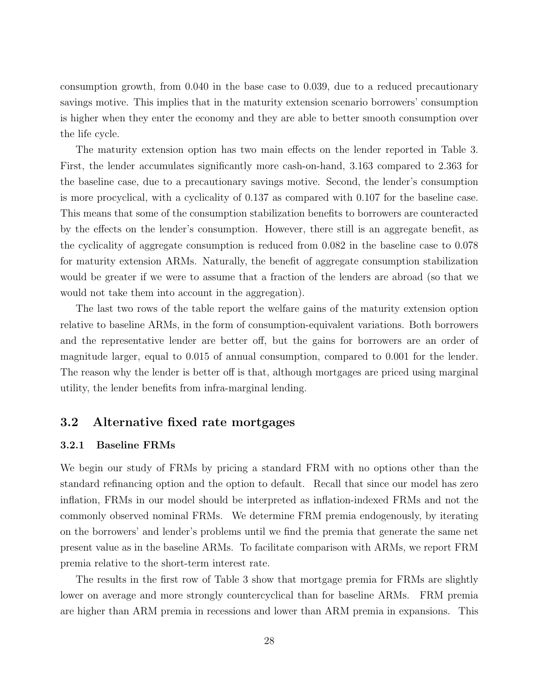consumption growth, from 0.040 in the base case to 0.039, due to a reduced precautionary savings motive. This implies that in the maturity extension scenario borrowers' consumption is higher when they enter the economy and they are able to better smooth consumption over the life cycle.

The maturity extension option has two main effects on the lender reported in Table 3. First, the lender accumulates significantly more cash-on-hand, 3.163 compared to 2.363 for the baseline case, due to a precautionary savings motive. Second, the lender's consumption is more procyclical, with a cyclicality of 0.137 as compared with 0.107 for the baseline case. This means that some of the consumption stabilization benefits to borrowers are counteracted by the effects on the lender's consumption. However, there still is an aggregate benefit, as the cyclicality of aggregate consumption is reduced from 0.082 in the baseline case to 0.078 for maturity extension ARMs. Naturally, the benefit of aggregate consumption stabilization would be greater if we were to assume that a fraction of the lenders are abroad (so that we would not take them into account in the aggregation).

The last two rows of the table report the welfare gains of the maturity extension option relative to baseline ARMs, in the form of consumption-equivalent variations. Both borrowers and the representative lender are better off, but the gains for borrowers are an order of magnitude larger, equal to 0.015 of annual consumption, compared to 0.001 for the lender. The reason why the lender is better off is that, although mortgages are priced using marginal utility, the lender benefits from infra-marginal lending.

# 3.2 Alternative fixed rate mortgages

### 3.2.1 Baseline FRMs

We begin our study of FRMs by pricing a standard FRM with no options other than the standard refinancing option and the option to default. Recall that since our model has zero inflation, FRMs in our model should be interpreted as inflation-indexed FRMs and not the commonly observed nominal FRMs. We determine FRM premia endogenously, by iterating on the borrowers' and lender's problems until we find the premia that generate the same net present value as in the baseline ARMs. To facilitate comparison with ARMs, we report FRM premia relative to the short-term interest rate.

The results in the first row of Table 3 show that mortgage premia for FRMs are slightly lower on average and more strongly countercyclical than for baseline ARMs. FRM premia are higher than ARM premia in recessions and lower than ARM premia in expansions. This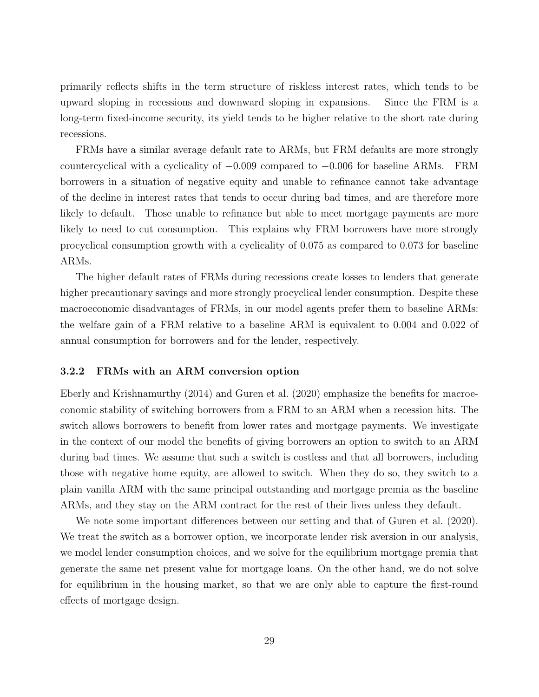primarily reflects shifts in the term structure of riskless interest rates, which tends to be upward sloping in recessions and downward sloping in expansions. Since the FRM is a long-term fixed-income security, its yield tends to be higher relative to the short rate during recessions.

FRMs have a similar average default rate to ARMs, but FRM defaults are more strongly countercyclical with a cyclicality of  $-0.009$  compared to  $-0.006$  for baseline ARMs. FRM borrowers in a situation of negative equity and unable to refinance cannot take advantage of the decline in interest rates that tends to occur during bad times, and are therefore more likely to default. Those unable to refinance but able to meet mortgage payments are more likely to need to cut consumption. This explains why FRM borrowers have more strongly procyclical consumption growth with a cyclicality of 0.075 as compared to 0.073 for baseline ARMs.

The higher default rates of FRMs during recessions create losses to lenders that generate higher precautionary savings and more strongly procyclical lender consumption. Despite these macroeconomic disadvantages of FRMs, in our model agents prefer them to baseline ARMs: the welfare gain of a FRM relative to a baseline ARM is equivalent to 0.004 and 0.022 of annual consumption for borrowers and for the lender, respectively.

#### 3.2.2 FRMs with an ARM conversion option

Eberly and Krishnamurthy (2014) and Guren et al. (2020) emphasize the benefits for macroeconomic stability of switching borrowers from a FRM to an ARM when a recession hits. The switch allows borrowers to benefit from lower rates and mortgage payments. We investigate in the context of our model the benefits of giving borrowers an option to switch to an ARM during bad times. We assume that such a switch is costless and that all borrowers, including those with negative home equity, are allowed to switch. When they do so, they switch to a plain vanilla ARM with the same principal outstanding and mortgage premia as the baseline ARMs, and they stay on the ARM contract for the rest of their lives unless they default.

We note some important differences between our setting and that of Guren et al. (2020). We treat the switch as a borrower option, we incorporate lender risk aversion in our analysis, we model lender consumption choices, and we solve for the equilibrium mortgage premia that generate the same net present value for mortgage loans. On the other hand, we do not solve for equilibrium in the housing market, so that we are only able to capture the first-round effects of mortgage design.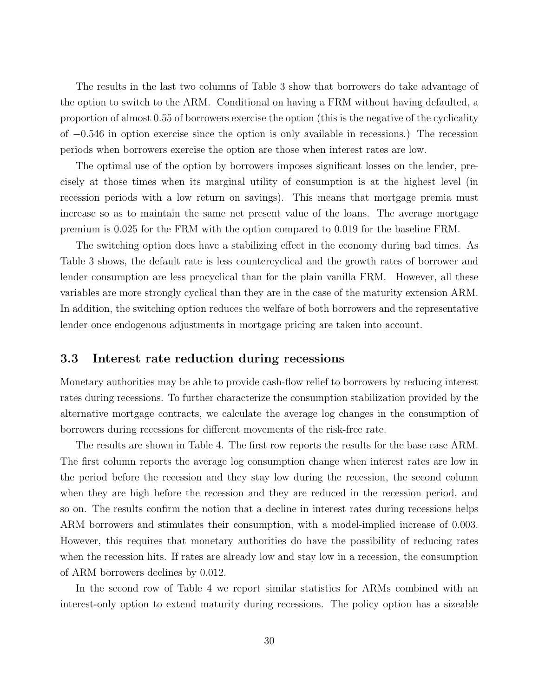The results in the last two columns of Table 3 show that borrowers do take advantage of the option to switch to the ARM. Conditional on having a FRM without having defaulted, a proportion of almost 0.55 of borrowers exercise the option (this is the negative of the cyclicality of −0.546 in option exercise since the option is only available in recessions.) The recession periods when borrowers exercise the option are those when interest rates are low.

The optimal use of the option by borrowers imposes significant losses on the lender, precisely at those times when its marginal utility of consumption is at the highest level (in recession periods with a low return on savings). This means that mortgage premia must increase so as to maintain the same net present value of the loans. The average mortgage premium is 0.025 for the FRM with the option compared to 0.019 for the baseline FRM.

The switching option does have a stabilizing effect in the economy during bad times. As Table 3 shows, the default rate is less countercyclical and the growth rates of borrower and lender consumption are less procyclical than for the plain vanilla FRM. However, all these variables are more strongly cyclical than they are in the case of the maturity extension ARM. In addition, the switching option reduces the welfare of both borrowers and the representative lender once endogenous adjustments in mortgage pricing are taken into account.

## 3.3 Interest rate reduction during recessions

Monetary authorities may be able to provide cash-flow relief to borrowers by reducing interest rates during recessions. To further characterize the consumption stabilization provided by the alternative mortgage contracts, we calculate the average log changes in the consumption of borrowers during recessions for different movements of the risk-free rate.

The results are shown in Table 4. The first row reports the results for the base case ARM. The first column reports the average log consumption change when interest rates are low in the period before the recession and they stay low during the recession, the second column when they are high before the recession and they are reduced in the recession period, and so on. The results confirm the notion that a decline in interest rates during recessions helps ARM borrowers and stimulates their consumption, with a model-implied increase of 0.003. However, this requires that monetary authorities do have the possibility of reducing rates when the recession hits. If rates are already low and stay low in a recession, the consumption of ARM borrowers declines by 0.012.

In the second row of Table 4 we report similar statistics for ARMs combined with an interest-only option to extend maturity during recessions. The policy option has a sizeable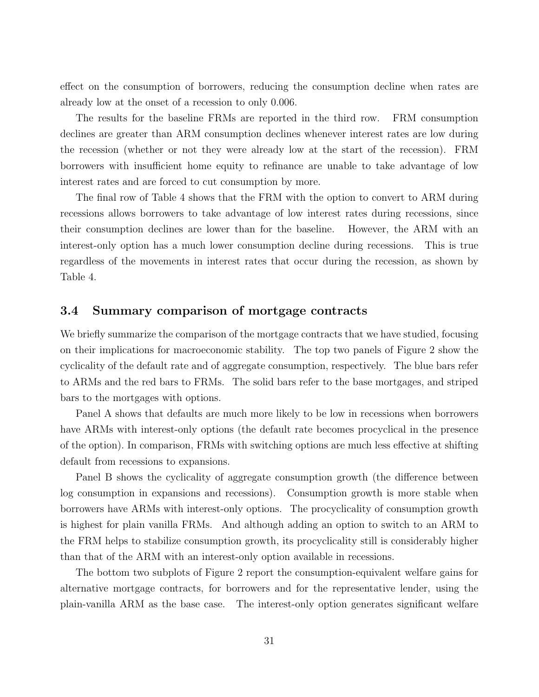effect on the consumption of borrowers, reducing the consumption decline when rates are already low at the onset of a recession to only 0.006.

The results for the baseline FRMs are reported in the third row. FRM consumption declines are greater than ARM consumption declines whenever interest rates are low during the recession (whether or not they were already low at the start of the recession). FRM borrowers with insufficient home equity to refinance are unable to take advantage of low interest rates and are forced to cut consumption by more.

The final row of Table 4 shows that the FRM with the option to convert to ARM during recessions allows borrowers to take advantage of low interest rates during recessions, since their consumption declines are lower than for the baseline. However, the ARM with an interest-only option has a much lower consumption decline during recessions. This is true regardless of the movements in interest rates that occur during the recession, as shown by Table 4.

### 3.4 Summary comparison of mortgage contracts

We briefly summarize the comparison of the mortgage contracts that we have studied, focusing on their implications for macroeconomic stability. The top two panels of Figure 2 show the cyclicality of the default rate and of aggregate consumption, respectively. The blue bars refer to ARMs and the red bars to FRMs. The solid bars refer to the base mortgages, and striped bars to the mortgages with options.

Panel A shows that defaults are much more likely to be low in recessions when borrowers have ARMs with interest-only options (the default rate becomes procyclical in the presence of the option). In comparison, FRMs with switching options are much less effective at shifting default from recessions to expansions.

Panel B shows the cyclicality of aggregate consumption growth (the difference between log consumption in expansions and recessions). Consumption growth is more stable when borrowers have ARMs with interest-only options. The procyclicality of consumption growth is highest for plain vanilla FRMs. And although adding an option to switch to an ARM to the FRM helps to stabilize consumption growth, its procyclicality still is considerably higher than that of the ARM with an interest-only option available in recessions.

The bottom two subplots of Figure 2 report the consumption-equivalent welfare gains for alternative mortgage contracts, for borrowers and for the representative lender, using the plain-vanilla ARM as the base case. The interest-only option generates significant welfare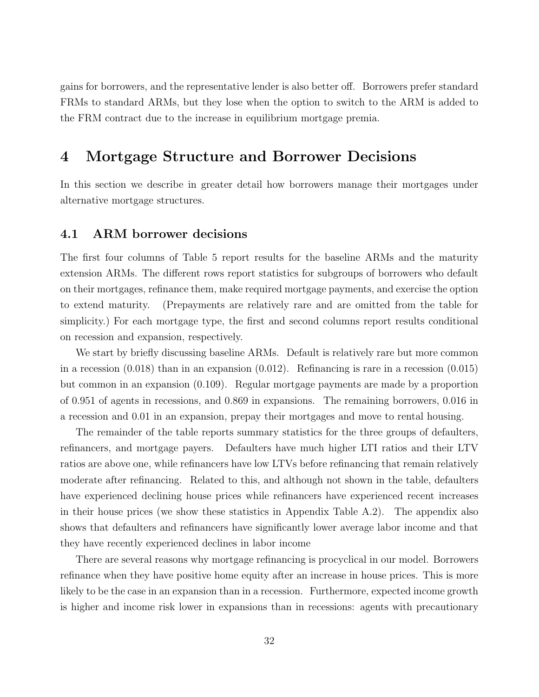gains for borrowers, and the representative lender is also better off. Borrowers prefer standard FRMs to standard ARMs, but they lose when the option to switch to the ARM is added to the FRM contract due to the increase in equilibrium mortgage premia.

# 4 Mortgage Structure and Borrower Decisions

In this section we describe in greater detail how borrowers manage their mortgages under alternative mortgage structures.

## 4.1 ARM borrower decisions

The first four columns of Table 5 report results for the baseline ARMs and the maturity extension ARMs. The different rows report statistics for subgroups of borrowers who default on their mortgages, refinance them, make required mortgage payments, and exercise the option to extend maturity. (Prepayments are relatively rare and are omitted from the table for simplicity.) For each mortgage type, the first and second columns report results conditional on recession and expansion, respectively.

We start by briefly discussing baseline ARMs. Default is relatively rare but more common in a recession (0.018) than in an expansion (0.012). Refinancing is rare in a recession (0.015) but common in an expansion (0.109). Regular mortgage payments are made by a proportion of 0.951 of agents in recessions, and 0.869 in expansions. The remaining borrowers, 0.016 in a recession and 0.01 in an expansion, prepay their mortgages and move to rental housing.

The remainder of the table reports summary statistics for the three groups of defaulters, refinancers, and mortgage payers. Defaulters have much higher LTI ratios and their LTV ratios are above one, while refinancers have low LTVs before refinancing that remain relatively moderate after refinancing. Related to this, and although not shown in the table, defaulters have experienced declining house prices while refinancers have experienced recent increases in their house prices (we show these statistics in Appendix Table A.2). The appendix also shows that defaulters and refinancers have significantly lower average labor income and that they have recently experienced declines in labor income

There are several reasons why mortgage refinancing is procyclical in our model. Borrowers refinance when they have positive home equity after an increase in house prices. This is more likely to be the case in an expansion than in a recession. Furthermore, expected income growth is higher and income risk lower in expansions than in recessions: agents with precautionary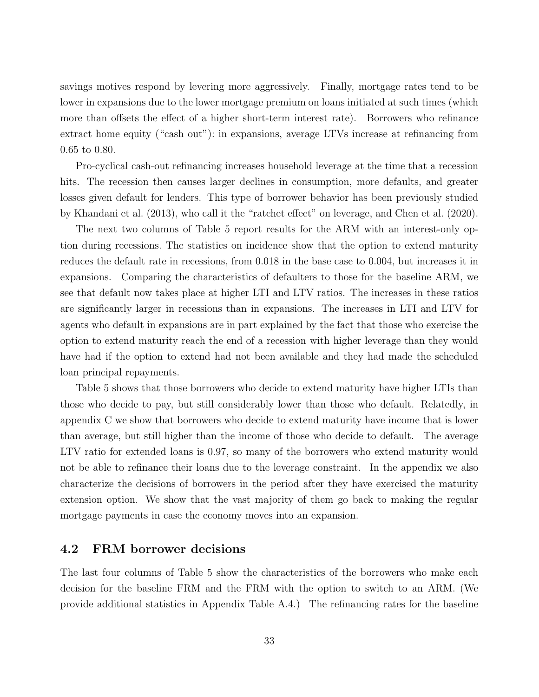savings motives respond by levering more aggressively. Finally, mortgage rates tend to be lower in expansions due to the lower mortgage premium on loans initiated at such times (which more than offsets the effect of a higher short-term interest rate). Borrowers who refinance extract home equity ("cash out"): in expansions, average LTVs increase at refinancing from 0.65 to 0.80.

Pro-cyclical cash-out refinancing increases household leverage at the time that a recession hits. The recession then causes larger declines in consumption, more defaults, and greater losses given default for lenders. This type of borrower behavior has been previously studied by Khandani et al. (2013), who call it the "ratchet effect" on leverage, and Chen et al. (2020).

The next two columns of Table 5 report results for the ARM with an interest-only option during recessions. The statistics on incidence show that the option to extend maturity reduces the default rate in recessions, from 0.018 in the base case to 0.004, but increases it in expansions. Comparing the characteristics of defaulters to those for the baseline ARM, we see that default now takes place at higher LTI and LTV ratios. The increases in these ratios are significantly larger in recessions than in expansions. The increases in LTI and LTV for agents who default in expansions are in part explained by the fact that those who exercise the option to extend maturity reach the end of a recession with higher leverage than they would have had if the option to extend had not been available and they had made the scheduled loan principal repayments.

Table 5 shows that those borrowers who decide to extend maturity have higher LTIs than those who decide to pay, but still considerably lower than those who default. Relatedly, in appendix C we show that borrowers who decide to extend maturity have income that is lower than average, but still higher than the income of those who decide to default. The average LTV ratio for extended loans is 0.97, so many of the borrowers who extend maturity would not be able to refinance their loans due to the leverage constraint. In the appendix we also characterize the decisions of borrowers in the period after they have exercised the maturity extension option. We show that the vast majority of them go back to making the regular mortgage payments in case the economy moves into an expansion.

# 4.2 FRM borrower decisions

The last four columns of Table 5 show the characteristics of the borrowers who make each decision for the baseline FRM and the FRM with the option to switch to an ARM. (We provide additional statistics in Appendix Table A.4.) The refinancing rates for the baseline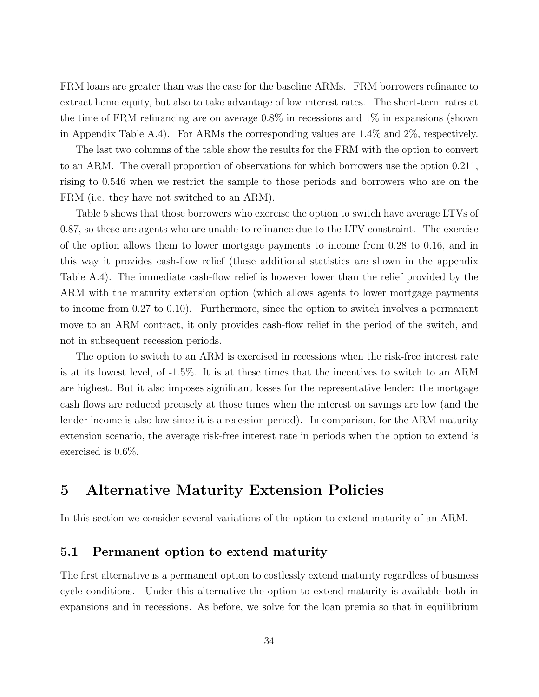FRM loans are greater than was the case for the baseline ARMs. FRM borrowers refinance to extract home equity, but also to take advantage of low interest rates. The short-term rates at the time of FRM refinancing are on average 0.8% in recessions and 1% in expansions (shown in Appendix Table A.4). For ARMs the corresponding values are 1.4% and 2%, respectively.

The last two columns of the table show the results for the FRM with the option to convert to an ARM. The overall proportion of observations for which borrowers use the option 0.211, rising to 0.546 when we restrict the sample to those periods and borrowers who are on the FRM (i.e. they have not switched to an ARM).

Table 5 shows that those borrowers who exercise the option to switch have average LTVs of 0.87, so these are agents who are unable to refinance due to the LTV constraint. The exercise of the option allows them to lower mortgage payments to income from 0.28 to 0.16, and in this way it provides cash-flow relief (these additional statistics are shown in the appendix Table A.4). The immediate cash-flow relief is however lower than the relief provided by the ARM with the maturity extension option (which allows agents to lower mortgage payments to income from 0.27 to 0.10). Furthermore, since the option to switch involves a permanent move to an ARM contract, it only provides cash-flow relief in the period of the switch, and not in subsequent recession periods.

The option to switch to an ARM is exercised in recessions when the risk-free interest rate is at its lowest level, of -1.5%. It is at these times that the incentives to switch to an ARM are highest. But it also imposes significant losses for the representative lender: the mortgage cash flows are reduced precisely at those times when the interest on savings are low (and the lender income is also low since it is a recession period). In comparison, for the ARM maturity extension scenario, the average risk-free interest rate in periods when the option to extend is exercised is 0.6%.

# 5 Alternative Maturity Extension Policies

In this section we consider several variations of the option to extend maturity of an ARM.

# 5.1 Permanent option to extend maturity

The first alternative is a permanent option to costlessly extend maturity regardless of business cycle conditions. Under this alternative the option to extend maturity is available both in expansions and in recessions. As before, we solve for the loan premia so that in equilibrium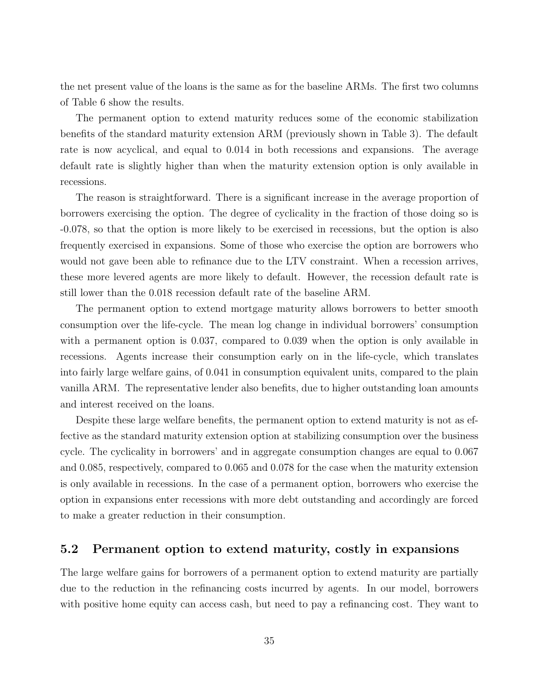the net present value of the loans is the same as for the baseline ARMs. The first two columns of Table 6 show the results.

The permanent option to extend maturity reduces some of the economic stabilization benefits of the standard maturity extension ARM (previously shown in Table 3). The default rate is now acyclical, and equal to 0.014 in both recessions and expansions. The average default rate is slightly higher than when the maturity extension option is only available in recessions.

The reason is straightforward. There is a significant increase in the average proportion of borrowers exercising the option. The degree of cyclicality in the fraction of those doing so is -0.078, so that the option is more likely to be exercised in recessions, but the option is also frequently exercised in expansions. Some of those who exercise the option are borrowers who would not gave been able to refinance due to the LTV constraint. When a recession arrives, these more levered agents are more likely to default. However, the recession default rate is still lower than the 0.018 recession default rate of the baseline ARM.

The permanent option to extend mortgage maturity allows borrowers to better smooth consumption over the life-cycle. The mean log change in individual borrowers' consumption with a permanent option is 0.037, compared to 0.039 when the option is only available in recessions. Agents increase their consumption early on in the life-cycle, which translates into fairly large welfare gains, of 0.041 in consumption equivalent units, compared to the plain vanilla ARM. The representative lender also benefits, due to higher outstanding loan amounts and interest received on the loans.

Despite these large welfare benefits, the permanent option to extend maturity is not as effective as the standard maturity extension option at stabilizing consumption over the business cycle. The cyclicality in borrowers' and in aggregate consumption changes are equal to 0.067 and 0.085, respectively, compared to 0.065 and 0.078 for the case when the maturity extension is only available in recessions. In the case of a permanent option, borrowers who exercise the option in expansions enter recessions with more debt outstanding and accordingly are forced to make a greater reduction in their consumption.

# 5.2 Permanent option to extend maturity, costly in expansions

The large welfare gains for borrowers of a permanent option to extend maturity are partially due to the reduction in the refinancing costs incurred by agents. In our model, borrowers with positive home equity can access cash, but need to pay a refinancing cost. They want to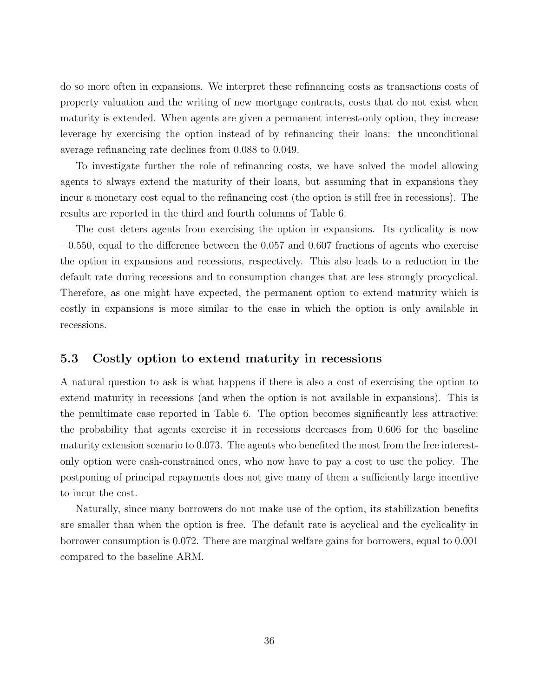do so more often in expansions. We interpret these refinancing costs as transactions costs of property valuation and the writing of new mortgage contracts, costs that do not exist when maturity is extended. When agents are given a permanent interest-only option, they increase leverage by exercising the option instead of by refinancing their loans: the unconditional average refinancing rate declines from 0.088 to 0.049.

To investigate further the role of refinancing costs, we have solved the model allowing agents to always extend the maturity of their loans, but assuming that in expansions they incur a monetary cost equal to the refinancing cost (the option is still free in recessions). The results are reported in the third and fourth columns of Table 6.

The cost deters agents from exercising the option in expansions. Its cyclicality is now −0.550, equal to the difference between the 0.057 and 0.607 fractions of agents who exercise the option in expansions and recessions, respectively. This also leads to a reduction in the default rate during recessions and to consumption changes that are less strongly procyclical. Therefore, as one might have expected, the permanent option to extend maturity which is costly in expansions is more similar to the case in which the option is only available in recessions.

## 5.3 Costly option to extend maturity in recessions

A natural question to ask is what happens if there is also a cost of exercising the option to extend maturity in recessions (and when the option is not available in expansions). This is the penultimate case reported in Table 6. The option becomes significantly less attractive: the probability that agents exercise it in recessions decreases from 0.606 for the baseline maturity extension scenario to 0.073. The agents who benefited the most from the free interestonly option were cash-constrained ones, who now have to pay a cost to use the policy. The postponing of principal repayments does not give many of them a sufficiently large incentive to incur the cost.

Naturally, since many borrowers do not make use of the option, its stabilization benefits are smaller than when the option is free. The default rate is acyclical and the cyclicality in borrower consumption is 0.072. There are marginal welfare gains for borrowers, equal to 0.001 compared to the baseline ARM.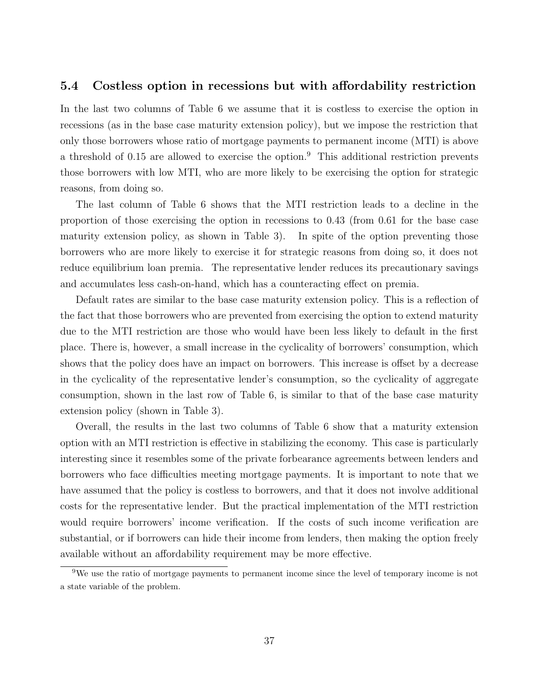### 5.4 Costless option in recessions but with affordability restriction

In the last two columns of Table 6 we assume that it is costless to exercise the option in recessions (as in the base case maturity extension policy), but we impose the restriction that only those borrowers whose ratio of mortgage payments to permanent income (MTI) is above a threshold of 0.15 are allowed to exercise the option.<sup>9</sup> This additional restriction prevents those borrowers with low MTI, who are more likely to be exercising the option for strategic reasons, from doing so.

The last column of Table 6 shows that the MTI restriction leads to a decline in the proportion of those exercising the option in recessions to 0.43 (from 0.61 for the base case maturity extension policy, as shown in Table 3). In spite of the option preventing those borrowers who are more likely to exercise it for strategic reasons from doing so, it does not reduce equilibrium loan premia. The representative lender reduces its precautionary savings and accumulates less cash-on-hand, which has a counteracting effect on premia.

Default rates are similar to the base case maturity extension policy. This is a reflection of the fact that those borrowers who are prevented from exercising the option to extend maturity due to the MTI restriction are those who would have been less likely to default in the first place. There is, however, a small increase in the cyclicality of borrowers' consumption, which shows that the policy does have an impact on borrowers. This increase is offset by a decrease in the cyclicality of the representative lender's consumption, so the cyclicality of aggregate consumption, shown in the last row of Table 6, is similar to that of the base case maturity extension policy (shown in Table 3).

Overall, the results in the last two columns of Table 6 show that a maturity extension option with an MTI restriction is effective in stabilizing the economy. This case is particularly interesting since it resembles some of the private forbearance agreements between lenders and borrowers who face difficulties meeting mortgage payments. It is important to note that we have assumed that the policy is costless to borrowers, and that it does not involve additional costs for the representative lender. But the practical implementation of the MTI restriction would require borrowers' income verification. If the costs of such income verification are substantial, or if borrowers can hide their income from lenders, then making the option freely available without an affordability requirement may be more effective.

<sup>&</sup>lt;sup>9</sup>We use the ratio of mortgage payments to permanent income since the level of temporary income is not a state variable of the problem.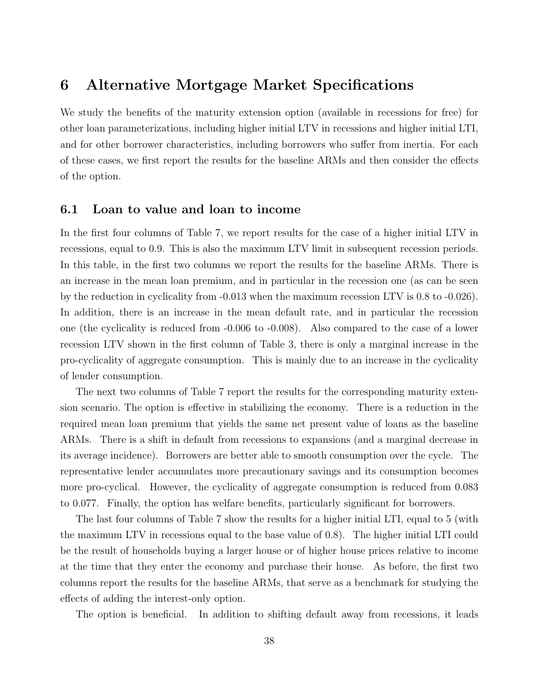# 6 Alternative Mortgage Market Specifications

We study the benefits of the maturity extension option (available in recessions for free) for other loan parameterizations, including higher initial LTV in recessions and higher initial LTI, and for other borrower characteristics, including borrowers who suffer from inertia. For each of these cases, we first report the results for the baseline ARMs and then consider the effects of the option.

## 6.1 Loan to value and loan to income

In the first four columns of Table 7, we report results for the case of a higher initial LTV in recessions, equal to 0.9. This is also the maximum LTV limit in subsequent recession periods. In this table, in the first two columns we report the results for the baseline ARMs. There is an increase in the mean loan premium, and in particular in the recession one (as can be seen by the reduction in cyclicality from -0.013 when the maximum recession LTV is 0.8 to -0.026). In addition, there is an increase in the mean default rate, and in particular the recession one (the cyclicality is reduced from -0.006 to -0.008). Also compared to the case of a lower recession LTV shown in the first column of Table 3, there is only a marginal increase in the pro-cyclicality of aggregate consumption. This is mainly due to an increase in the cyclicality of lender consumption.

The next two columns of Table 7 report the results for the corresponding maturity extension scenario. The option is effective in stabilizing the economy. There is a reduction in the required mean loan premium that yields the same net present value of loans as the baseline ARMs. There is a shift in default from recessions to expansions (and a marginal decrease in its average incidence). Borrowers are better able to smooth consumption over the cycle. The representative lender accumulates more precautionary savings and its consumption becomes more pro-cyclical. However, the cyclicality of aggregate consumption is reduced from 0.083 to 0.077. Finally, the option has welfare benefits, particularly significant for borrowers.

The last four columns of Table 7 show the results for a higher initial LTI, equal to 5 (with the maximum LTV in recessions equal to the base value of 0.8). The higher initial LTI could be the result of households buying a larger house or of higher house prices relative to income at the time that they enter the economy and purchase their house. As before, the first two columns report the results for the baseline ARMs, that serve as a benchmark for studying the effects of adding the interest-only option.

The option is beneficial. In addition to shifting default away from recessions, it leads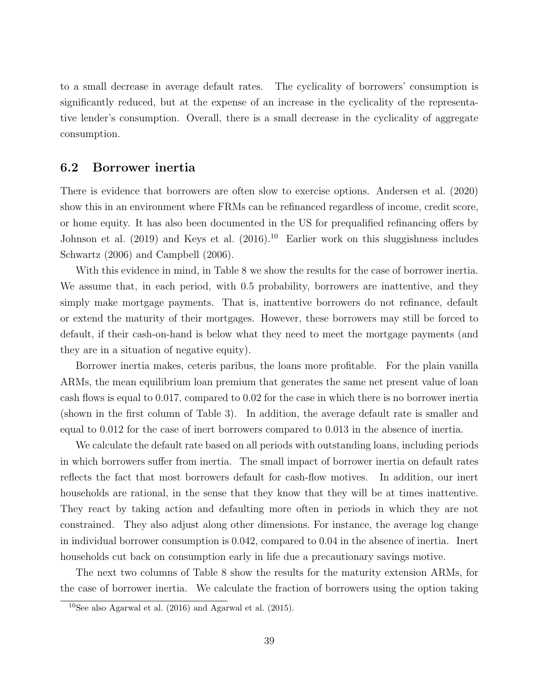to a small decrease in average default rates. The cyclicality of borrowers' consumption is significantly reduced, but at the expense of an increase in the cyclicality of the representative lender's consumption. Overall, there is a small decrease in the cyclicality of aggregate consumption.

### 6.2 Borrower inertia

There is evidence that borrowers are often slow to exercise options. Andersen et al. (2020) show this in an environment where FRMs can be refinanced regardless of income, credit score, or home equity. It has also been documented in the US for prequalified refinancing offers by Johnson et al. (2019) and Keys et al. (2016).<sup>10</sup> Earlier work on this sluggishness includes Schwartz (2006) and Campbell (2006).

With this evidence in mind, in Table 8 we show the results for the case of borrower inertia. We assume that, in each period, with 0.5 probability, borrowers are inattentive, and they simply make mortgage payments. That is, inattentive borrowers do not refinance, default or extend the maturity of their mortgages. However, these borrowers may still be forced to default, if their cash-on-hand is below what they need to meet the mortgage payments (and they are in a situation of negative equity).

Borrower inertia makes, ceteris paribus, the loans more profitable. For the plain vanilla ARMs, the mean equilibrium loan premium that generates the same net present value of loan cash flows is equal to 0.017, compared to 0.02 for the case in which there is no borrower inertia (shown in the first column of Table 3). In addition, the average default rate is smaller and equal to 0.012 for the case of inert borrowers compared to 0.013 in the absence of inertia.

We calculate the default rate based on all periods with outstanding loans, including periods in which borrowers suffer from inertia. The small impact of borrower inertia on default rates reflects the fact that most borrowers default for cash-flow motives. In addition, our inert households are rational, in the sense that they know that they will be at times inattentive. They react by taking action and defaulting more often in periods in which they are not constrained. They also adjust along other dimensions. For instance, the average log change in individual borrower consumption is 0.042, compared to 0.04 in the absence of inertia. Inert households cut back on consumption early in life due a precautionary savings motive.

The next two columns of Table 8 show the results for the maturity extension ARMs, for the case of borrower inertia. We calculate the fraction of borrowers using the option taking

 $10$ See also Agarwal et al. (2016) and Agarwal et al. (2015).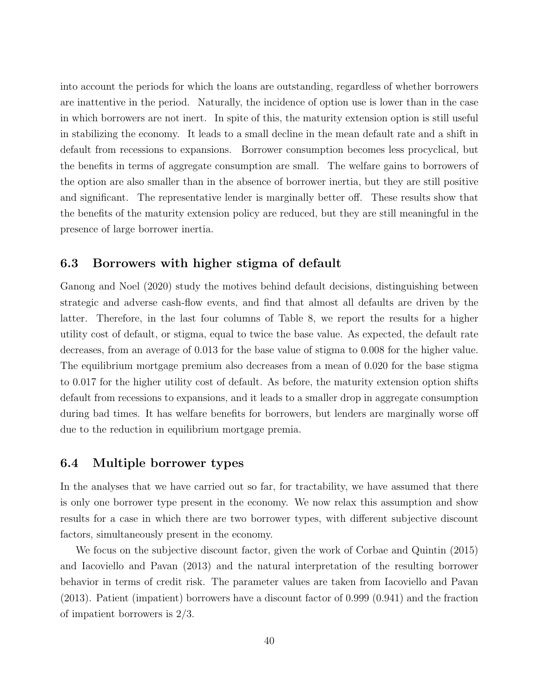into account the periods for which the loans are outstanding, regardless of whether borrowers are inattentive in the period. Naturally, the incidence of option use is lower than in the case in which borrowers are not inert. In spite of this, the maturity extension option is still useful in stabilizing the economy. It leads to a small decline in the mean default rate and a shift in default from recessions to expansions. Borrower consumption becomes less procyclical, but the benefits in terms of aggregate consumption are small. The welfare gains to borrowers of the option are also smaller than in the absence of borrower inertia, but they are still positive and significant. The representative lender is marginally better off. These results show that the benefits of the maturity extension policy are reduced, but they are still meaningful in the presence of large borrower inertia.

# 6.3 Borrowers with higher stigma of default

Ganong and Noel (2020) study the motives behind default decisions, distinguishing between strategic and adverse cash-flow events, and find that almost all defaults are driven by the latter. Therefore, in the last four columns of Table 8, we report the results for a higher utility cost of default, or stigma, equal to twice the base value. As expected, the default rate decreases, from an average of 0.013 for the base value of stigma to 0.008 for the higher value. The equilibrium mortgage premium also decreases from a mean of 0.020 for the base stigma to 0.017 for the higher utility cost of default. As before, the maturity extension option shifts default from recessions to expansions, and it leads to a smaller drop in aggregate consumption during bad times. It has welfare benefits for borrowers, but lenders are marginally worse off due to the reduction in equilibrium mortgage premia.

## 6.4 Multiple borrower types

In the analyses that we have carried out so far, for tractability, we have assumed that there is only one borrower type present in the economy. We now relax this assumption and show results for a case in which there are two borrower types, with different subjective discount factors, simultaneously present in the economy.

We focus on the subjective discount factor, given the work of Corbae and Quintin (2015) and Iacoviello and Pavan (2013) and the natural interpretation of the resulting borrower behavior in terms of credit risk. The parameter values are taken from Iacoviello and Pavan (2013). Patient (impatient) borrowers have a discount factor of 0.999 (0.941) and the fraction of impatient borrowers is 2/3.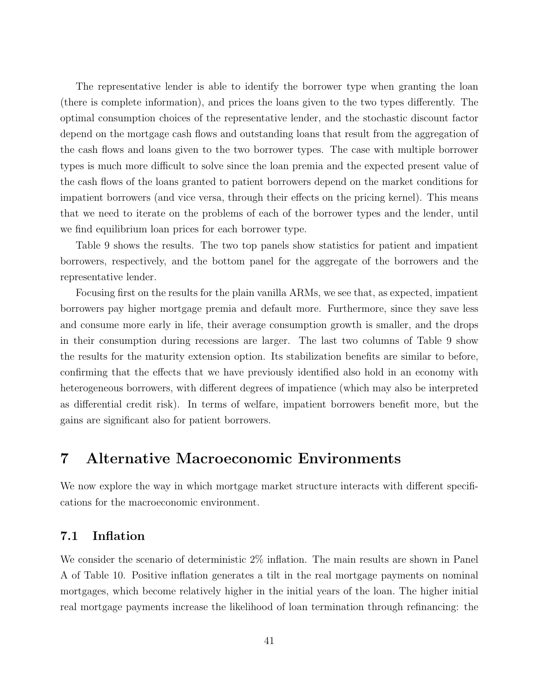The representative lender is able to identify the borrower type when granting the loan (there is complete information), and prices the loans given to the two types differently. The optimal consumption choices of the representative lender, and the stochastic discount factor depend on the mortgage cash flows and outstanding loans that result from the aggregation of the cash flows and loans given to the two borrower types. The case with multiple borrower types is much more difficult to solve since the loan premia and the expected present value of the cash flows of the loans granted to patient borrowers depend on the market conditions for impatient borrowers (and vice versa, through their effects on the pricing kernel). This means that we need to iterate on the problems of each of the borrower types and the lender, until we find equilibrium loan prices for each borrower type.

Table 9 shows the results. The two top panels show statistics for patient and impatient borrowers, respectively, and the bottom panel for the aggregate of the borrowers and the representative lender.

Focusing first on the results for the plain vanilla ARMs, we see that, as expected, impatient borrowers pay higher mortgage premia and default more. Furthermore, since they save less and consume more early in life, their average consumption growth is smaller, and the drops in their consumption during recessions are larger. The last two columns of Table 9 show the results for the maturity extension option. Its stabilization benefits are similar to before, confirming that the effects that we have previously identified also hold in an economy with heterogeneous borrowers, with different degrees of impatience (which may also be interpreted as differential credit risk). In terms of welfare, impatient borrowers benefit more, but the gains are significant also for patient borrowers.

# 7 Alternative Macroeconomic Environments

We now explore the way in which mortgage market structure interacts with different specifications for the macroeconomic environment.

# 7.1 Inflation

We consider the scenario of deterministic 2\% inflation. The main results are shown in Panel A of Table 10. Positive inflation generates a tilt in the real mortgage payments on nominal mortgages, which become relatively higher in the initial years of the loan. The higher initial real mortgage payments increase the likelihood of loan termination through refinancing: the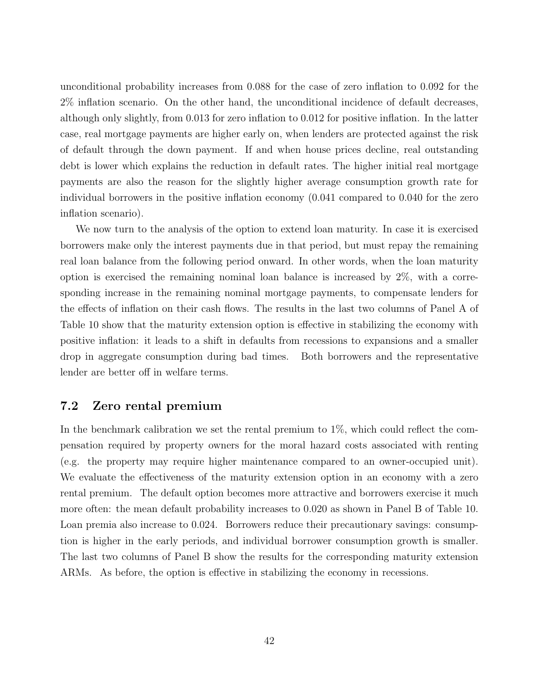unconditional probability increases from 0.088 for the case of zero inflation to 0.092 for the 2% inflation scenario. On the other hand, the unconditional incidence of default decreases, although only slightly, from 0.013 for zero inflation to 0.012 for positive inflation. In the latter case, real mortgage payments are higher early on, when lenders are protected against the risk of default through the down payment. If and when house prices decline, real outstanding debt is lower which explains the reduction in default rates. The higher initial real mortgage payments are also the reason for the slightly higher average consumption growth rate for individual borrowers in the positive inflation economy (0.041 compared to 0.040 for the zero inflation scenario).

We now turn to the analysis of the option to extend loan maturity. In case it is exercised borrowers make only the interest payments due in that period, but must repay the remaining real loan balance from the following period onward. In other words, when the loan maturity option is exercised the remaining nominal loan balance is increased by 2%, with a corresponding increase in the remaining nominal mortgage payments, to compensate lenders for the effects of inflation on their cash flows. The results in the last two columns of Panel A of Table 10 show that the maturity extension option is effective in stabilizing the economy with positive inflation: it leads to a shift in defaults from recessions to expansions and a smaller drop in aggregate consumption during bad times. Both borrowers and the representative lender are better off in welfare terms.

# 7.2 Zero rental premium

In the benchmark calibration we set the rental premium to 1%, which could reflect the compensation required by property owners for the moral hazard costs associated with renting (e.g. the property may require higher maintenance compared to an owner-occupied unit). We evaluate the effectiveness of the maturity extension option in an economy with a zero rental premium. The default option becomes more attractive and borrowers exercise it much more often: the mean default probability increases to 0.020 as shown in Panel B of Table 10. Loan premia also increase to 0.024. Borrowers reduce their precautionary savings: consumption is higher in the early periods, and individual borrower consumption growth is smaller. The last two columns of Panel B show the results for the corresponding maturity extension ARMs. As before, the option is effective in stabilizing the economy in recessions.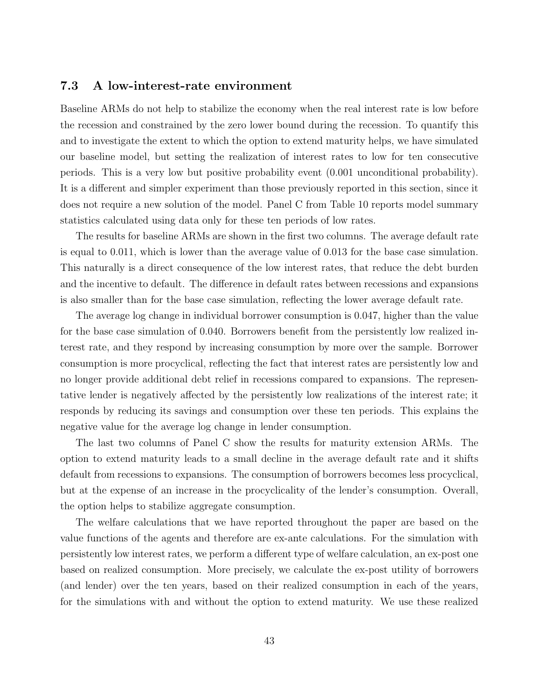# 7.3 A low-interest-rate environment

Baseline ARMs do not help to stabilize the economy when the real interest rate is low before the recession and constrained by the zero lower bound during the recession. To quantify this and to investigate the extent to which the option to extend maturity helps, we have simulated our baseline model, but setting the realization of interest rates to low for ten consecutive periods. This is a very low but positive probability event (0.001 unconditional probability). It is a different and simpler experiment than those previously reported in this section, since it does not require a new solution of the model. Panel C from Table 10 reports model summary statistics calculated using data only for these ten periods of low rates.

The results for baseline ARMs are shown in the first two columns. The average default rate is equal to 0.011, which is lower than the average value of 0.013 for the base case simulation. This naturally is a direct consequence of the low interest rates, that reduce the debt burden and the incentive to default. The difference in default rates between recessions and expansions is also smaller than for the base case simulation, reflecting the lower average default rate.

The average log change in individual borrower consumption is 0.047, higher than the value for the base case simulation of 0.040. Borrowers benefit from the persistently low realized interest rate, and they respond by increasing consumption by more over the sample. Borrower consumption is more procyclical, reflecting the fact that interest rates are persistently low and no longer provide additional debt relief in recessions compared to expansions. The representative lender is negatively affected by the persistently low realizations of the interest rate; it responds by reducing its savings and consumption over these ten periods. This explains the negative value for the average log change in lender consumption.

The last two columns of Panel C show the results for maturity extension ARMs. The option to extend maturity leads to a small decline in the average default rate and it shifts default from recessions to expansions. The consumption of borrowers becomes less procyclical, but at the expense of an increase in the procyclicality of the lender's consumption. Overall, the option helps to stabilize aggregate consumption.

The welfare calculations that we have reported throughout the paper are based on the value functions of the agents and therefore are ex-ante calculations. For the simulation with persistently low interest rates, we perform a different type of welfare calculation, an ex-post one based on realized consumption. More precisely, we calculate the ex-post utility of borrowers (and lender) over the ten years, based on their realized consumption in each of the years, for the simulations with and without the option to extend maturity. We use these realized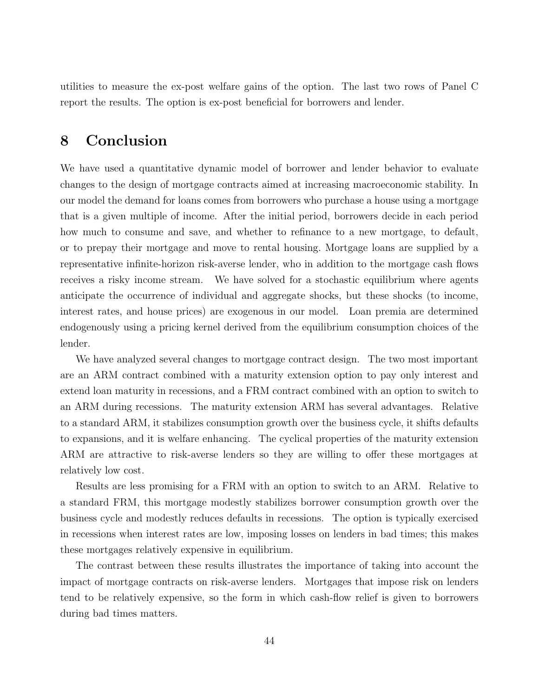utilities to measure the ex-post welfare gains of the option. The last two rows of Panel C report the results. The option is ex-post beneficial for borrowers and lender.

# 8 Conclusion

We have used a quantitative dynamic model of borrower and lender behavior to evaluate changes to the design of mortgage contracts aimed at increasing macroeconomic stability. In our model the demand for loans comes from borrowers who purchase a house using a mortgage that is a given multiple of income. After the initial period, borrowers decide in each period how much to consume and save, and whether to refinance to a new mortgage, to default, or to prepay their mortgage and move to rental housing. Mortgage loans are supplied by a representative infinite-horizon risk-averse lender, who in addition to the mortgage cash flows receives a risky income stream. We have solved for a stochastic equilibrium where agents anticipate the occurrence of individual and aggregate shocks, but these shocks (to income, interest rates, and house prices) are exogenous in our model. Loan premia are determined endogenously using a pricing kernel derived from the equilibrium consumption choices of the lender.

We have analyzed several changes to mortgage contract design. The two most important are an ARM contract combined with a maturity extension option to pay only interest and extend loan maturity in recessions, and a FRM contract combined with an option to switch to an ARM during recessions. The maturity extension ARM has several advantages. Relative to a standard ARM, it stabilizes consumption growth over the business cycle, it shifts defaults to expansions, and it is welfare enhancing. The cyclical properties of the maturity extension ARM are attractive to risk-averse lenders so they are willing to offer these mortgages at relatively low cost.

Results are less promising for a FRM with an option to switch to an ARM. Relative to a standard FRM, this mortgage modestly stabilizes borrower consumption growth over the business cycle and modestly reduces defaults in recessions. The option is typically exercised in recessions when interest rates are low, imposing losses on lenders in bad times; this makes these mortgages relatively expensive in equilibrium.

The contrast between these results illustrates the importance of taking into account the impact of mortgage contracts on risk-averse lenders. Mortgages that impose risk on lenders tend to be relatively expensive, so the form in which cash-flow relief is given to borrowers during bad times matters.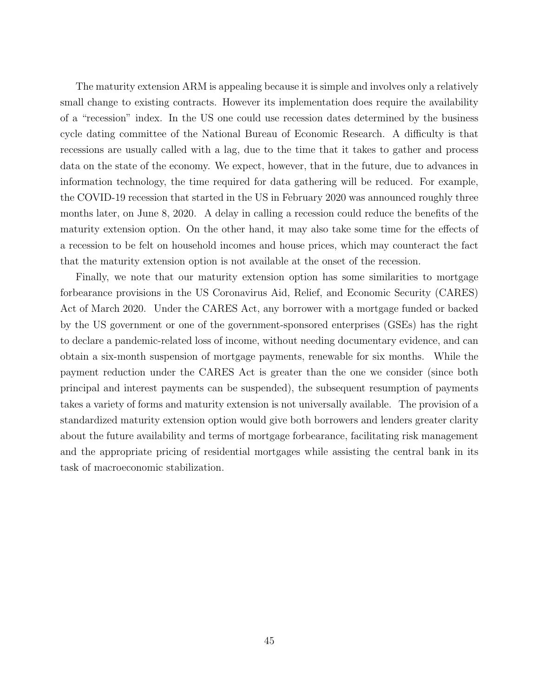The maturity extension ARM is appealing because it is simple and involves only a relatively small change to existing contracts. However its implementation does require the availability of a "recession" index. In the US one could use recession dates determined by the business cycle dating committee of the National Bureau of Economic Research. A difficulty is that recessions are usually called with a lag, due to the time that it takes to gather and process data on the state of the economy. We expect, however, that in the future, due to advances in information technology, the time required for data gathering will be reduced. For example, the COVID-19 recession that started in the US in February 2020 was announced roughly three months later, on June 8, 2020. A delay in calling a recession could reduce the benefits of the maturity extension option. On the other hand, it may also take some time for the effects of a recession to be felt on household incomes and house prices, which may counteract the fact that the maturity extension option is not available at the onset of the recession.

Finally, we note that our maturity extension option has some similarities to mortgage forbearance provisions in the US Coronavirus Aid, Relief, and Economic Security (CARES) Act of March 2020. Under the CARES Act, any borrower with a mortgage funded or backed by the US government or one of the government-sponsored enterprises (GSEs) has the right to declare a pandemic-related loss of income, without needing documentary evidence, and can obtain a six-month suspension of mortgage payments, renewable for six months. While the payment reduction under the CARES Act is greater than the one we consider (since both principal and interest payments can be suspended), the subsequent resumption of payments takes a variety of forms and maturity extension is not universally available. The provision of a standardized maturity extension option would give both borrowers and lenders greater clarity about the future availability and terms of mortgage forbearance, facilitating risk management and the appropriate pricing of residential mortgages while assisting the central bank in its task of macroeconomic stabilization.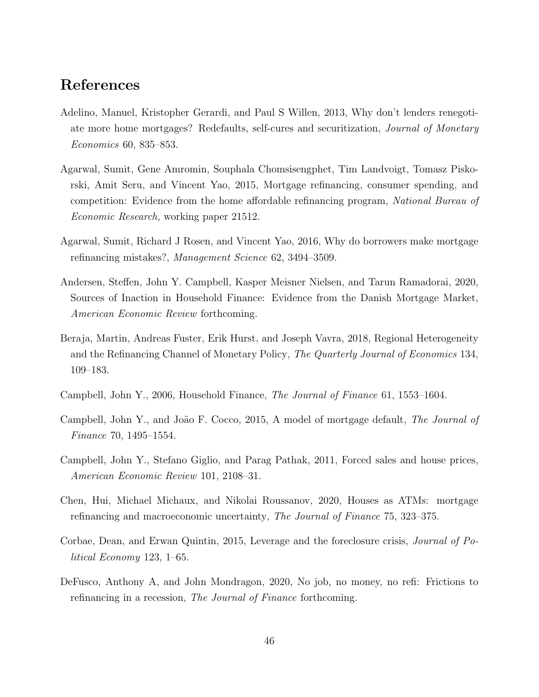# References

- Adelino, Manuel, Kristopher Gerardi, and Paul S Willen, 2013, Why don't lenders renegotiate more home mortgages? Redefaults, self-cures and securitization, Journal of Monetary Economics 60, 835–853.
- Agarwal, Sumit, Gene Amromin, Souphala Chomsisengphet, Tim Landvoigt, Tomasz Piskorski, Amit Seru, and Vincent Yao, 2015, Mortgage refinancing, consumer spending, and competition: Evidence from the home affordable refinancing program, National Bureau of Economic Research, working paper 21512.
- Agarwal, Sumit, Richard J Rosen, and Vincent Yao, 2016, Why do borrowers make mortgage refinancing mistakes?, Management Science 62, 3494–3509.
- Andersen, Steffen, John Y. Campbell, Kasper Meisner Nielsen, and Tarun Ramadorai, 2020, Sources of Inaction in Household Finance: Evidence from the Danish Mortgage Market, American Economic Review forthcoming.
- Beraja, Martin, Andreas Fuster, Erik Hurst, and Joseph Vavra, 2018, Regional Heterogeneity and the Refinancing Channel of Monetary Policy, The Quarterly Journal of Economics 134, 109–183.
- Campbell, John Y., 2006, Household Finance, The Journal of Finance 61, 1553–1604.
- Campbell, John Y., and João F. Cocco, 2015, A model of mortgage default, The Journal of Finance 70, 1495–1554.
- Campbell, John Y., Stefano Giglio, and Parag Pathak, 2011, Forced sales and house prices, American Economic Review 101, 2108–31.
- Chen, Hui, Michael Michaux, and Nikolai Roussanov, 2020, Houses as ATMs: mortgage refinancing and macroeconomic uncertainty, The Journal of Finance 75, 323–375.
- Corbae, Dean, and Erwan Quintin, 2015, Leverage and the foreclosure crisis, Journal of Political Economy 123, 1–65.
- DeFusco, Anthony A, and John Mondragon, 2020, No job, no money, no refi: Frictions to refinancing in a recession, *The Journal of Finance* forthcoming.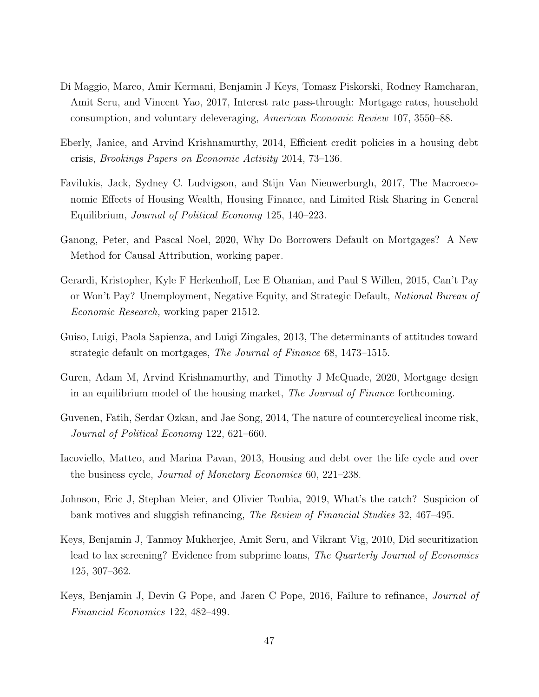- Di Maggio, Marco, Amir Kermani, Benjamin J Keys, Tomasz Piskorski, Rodney Ramcharan, Amit Seru, and Vincent Yao, 2017, Interest rate pass-through: Mortgage rates, household consumption, and voluntary deleveraging, American Economic Review 107, 3550–88.
- Eberly, Janice, and Arvind Krishnamurthy, 2014, Efficient credit policies in a housing debt crisis, Brookings Papers on Economic Activity 2014, 73–136.
- Favilukis, Jack, Sydney C. Ludvigson, and Stijn Van Nieuwerburgh, 2017, The Macroeconomic Effects of Housing Wealth, Housing Finance, and Limited Risk Sharing in General Equilibrium, Journal of Political Economy 125, 140–223.
- Ganong, Peter, and Pascal Noel, 2020, Why Do Borrowers Default on Mortgages? A New Method for Causal Attribution, working paper.
- Gerardi, Kristopher, Kyle F Herkenhoff, Lee E Ohanian, and Paul S Willen, 2015, Can't Pay or Won't Pay? Unemployment, Negative Equity, and Strategic Default, National Bureau of Economic Research, working paper 21512.
- Guiso, Luigi, Paola Sapienza, and Luigi Zingales, 2013, The determinants of attitudes toward strategic default on mortgages, The Journal of Finance 68, 1473–1515.
- Guren, Adam M, Arvind Krishnamurthy, and Timothy J McQuade, 2020, Mortgage design in an equilibrium model of the housing market, The Journal of Finance forthcoming.
- Guvenen, Fatih, Serdar Ozkan, and Jae Song, 2014, The nature of countercyclical income risk, Journal of Political Economy 122, 621–660.
- Iacoviello, Matteo, and Marina Pavan, 2013, Housing and debt over the life cycle and over the business cycle, Journal of Monetary Economics 60, 221–238.
- Johnson, Eric J, Stephan Meier, and Olivier Toubia, 2019, What's the catch? Suspicion of bank motives and sluggish refinancing, The Review of Financial Studies 32, 467–495.
- Keys, Benjamin J, Tanmoy Mukherjee, Amit Seru, and Vikrant Vig, 2010, Did securitization lead to lax screening? Evidence from subprime loans, The Quarterly Journal of Economics 125, 307–362.
- Keys, Benjamin J, Devin G Pope, and Jaren C Pope, 2016, Failure to refinance, Journal of Financial Economics 122, 482–499.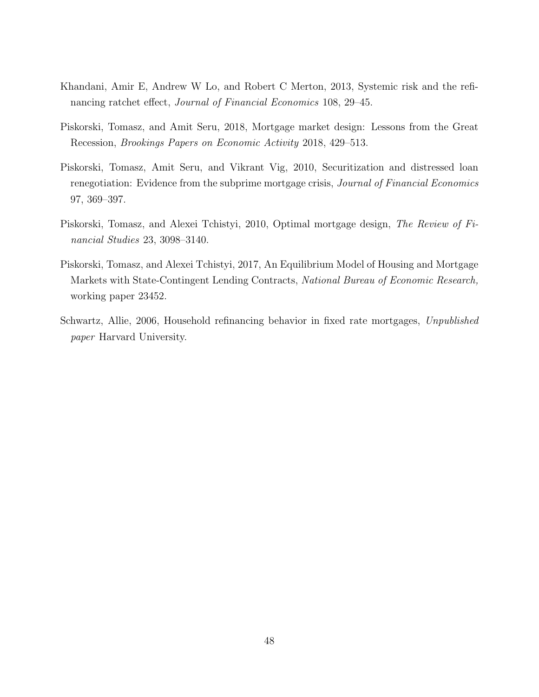- Khandani, Amir E, Andrew W Lo, and Robert C Merton, 2013, Systemic risk and the refinancing ratchet effect, Journal of Financial Economics 108, 29–45.
- Piskorski, Tomasz, and Amit Seru, 2018, Mortgage market design: Lessons from the Great Recession, Brookings Papers on Economic Activity 2018, 429–513.
- Piskorski, Tomasz, Amit Seru, and Vikrant Vig, 2010, Securitization and distressed loan renegotiation: Evidence from the subprime mortgage crisis, *Journal of Financial Economics* 97, 369–397.
- Piskorski, Tomasz, and Alexei Tchistyi, 2010, Optimal mortgage design, The Review of Financial Studies 23, 3098–3140.
- Piskorski, Tomasz, and Alexei Tchistyi, 2017, An Equilibrium Model of Housing and Mortgage Markets with State-Contingent Lending Contracts, National Bureau of Economic Research, working paper 23452.
- Schwartz, Allie, 2006, Household refinancing behavior in fixed rate mortgages, Unpublished paper Harvard University.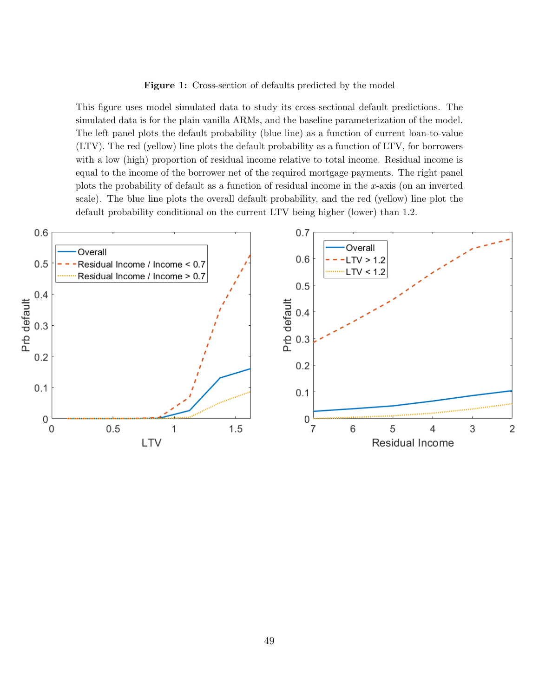#### Figure 1: Cross-section of defaults predicted by the model

This figure uses model simulated data to study its cross-sectional default predictions. The simulated data is for the plain vanilla ARMs, and the baseline parameterization of the model. The left panel plots the default probability (blue line) as a function of current loan-to-value (LTV). The red (yellow) line plots the default probability as a function of LTV, for borrowers with a low (high) proportion of residual income relative to total income. Residual income is equal to the income of the borrower net of the required mortgage payments. The right panel plots the probability of default as a function of residual income in the x-axis (on an inverted scale). The blue line plots the overall default probability, and the red (yellow) line plot the default probability conditional on the current LTV being higher (lower) than 1.2.

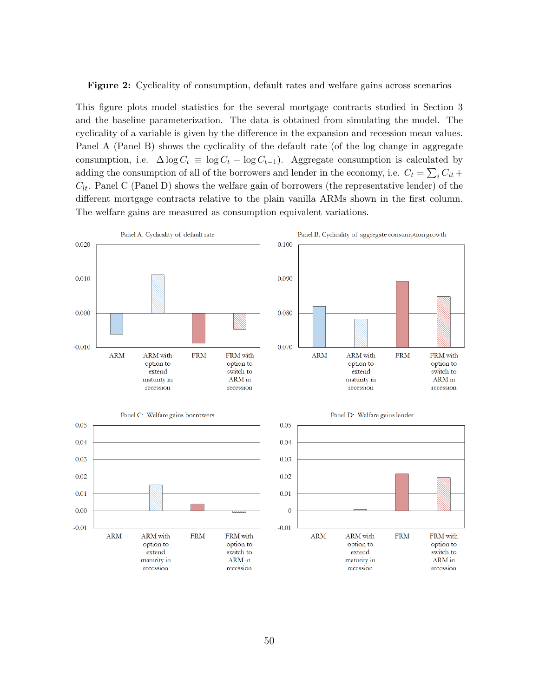Figure 2: Cyclicality of consumption, default rates and welfare gains across scenarios

This figure plots model statistics for the several mortgage contracts studied in Section 3 and the baseline parameterization. The data is obtained from simulating the model. The cyclicality of a variable is given by the difference in the expansion and recession mean values. Panel A (Panel B) shows the cyclicality of the default rate (of the log change in aggregate consumption, i.e.  $\Delta \log C_t \equiv \log C_t - \log C_{t-1}$ . Aggregate consumption is calculated by adding the consumption of all of the borrowers and lender in the economy, i.e.  $C_t = \sum_i C_{it} +$  $C_{lt}$ . Panel C (Panel D) shows the welfare gain of borrowers (the representative lender) of the different mortgage contracts relative to the plain vanilla ARMs shown in the first column. The welfare gains are measured as consumption equivalent variations.

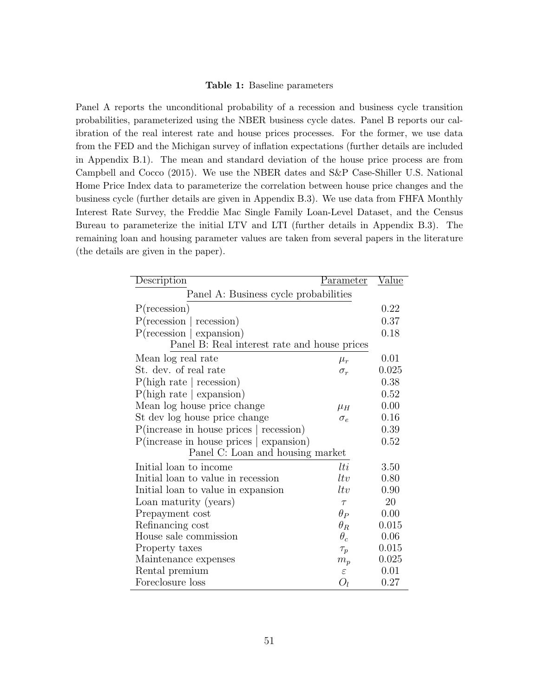#### Table 1: Baseline parameters

Panel A reports the unconditional probability of a recession and business cycle transition probabilities, parameterized using the NBER business cycle dates. Panel B reports our calibration of the real interest rate and house prices processes. For the former, we use data from the FED and the Michigan survey of inflation expectations (further details are included in Appendix B.1). The mean and standard deviation of the house price process are from Campbell and Cocco (2015). We use the NBER dates and S&P Case-Shiller U.S. National Home Price Index data to parameterize the correlation between house price changes and the business cycle (further details are given in Appendix B.3). We use data from FHFA Monthly Interest Rate Survey, the Freddie Mac Single Family Loan-Level Dataset, and the Census Bureau to parameterize the initial LTV and LTI (further details in Appendix B.3). The remaining loan and housing parameter values are taken from several papers in the literature (the details are given in the paper).

| Description                                                | <u>Parameter</u> | <u>Value</u> |  |  |  |  |
|------------------------------------------------------------|------------------|--------------|--|--|--|--|
| Panel A: Business cycle probabilities                      |                  |              |  |  |  |  |
| P(recession)                                               |                  | 0.22         |  |  |  |  |
| $P(\text{recession} \mid \text{recession})$                |                  | 0.37         |  |  |  |  |
| $P(\text{recession} \mid \text{expansion})$                |                  | 0.18         |  |  |  |  |
| Panel B: Real interest rate and house prices               |                  |              |  |  |  |  |
| Mean log real rate                                         | $\mu_r$          | 0.01         |  |  |  |  |
| St. dev. of real rate                                      | $\sigma_r$       | 0.025        |  |  |  |  |
| P(high rate   recession)                                   |                  | 0.38         |  |  |  |  |
| P(high rate   expansion)                                   |                  | 0.52         |  |  |  |  |
| Mean log house price change                                | $\mu_H$          | 0.00         |  |  |  |  |
| St dev log house price change                              | $\sigma_e$       | 0.16         |  |  |  |  |
| $P(\text{increase in house prices} \mid \text{recession})$ |                  | 0.39         |  |  |  |  |
| $P(\text{increase in house prices} \mid \text{expansion})$ |                  | 0.52         |  |  |  |  |
| Panel C: Loan and housing market                           |                  |              |  |  |  |  |
| Initial loan to income                                     | lti              | 3.50         |  |  |  |  |
| Initial loan to value in recession                         | ltv              | 0.80         |  |  |  |  |
| Initial loan to value in expansion                         | ltv              | 0.90         |  |  |  |  |
| Loan maturity (years)                                      | $\tau$           | 20           |  |  |  |  |
| Prepayment cost                                            | $\theta_P$       | 0.00         |  |  |  |  |
| Refinancing cost                                           | $\theta_R$       | 0.015        |  |  |  |  |
| House sale commission                                      | $\theta_c$       | 0.06         |  |  |  |  |
| Property taxes                                             | $\tau_p$         | 0.015        |  |  |  |  |
| Maintenance expenses                                       | $m_p$            | 0.025        |  |  |  |  |
| Rental premium                                             | $\varepsilon$    | 0.01         |  |  |  |  |
| Foreclosure loss                                           | $O_l$            | 0.27         |  |  |  |  |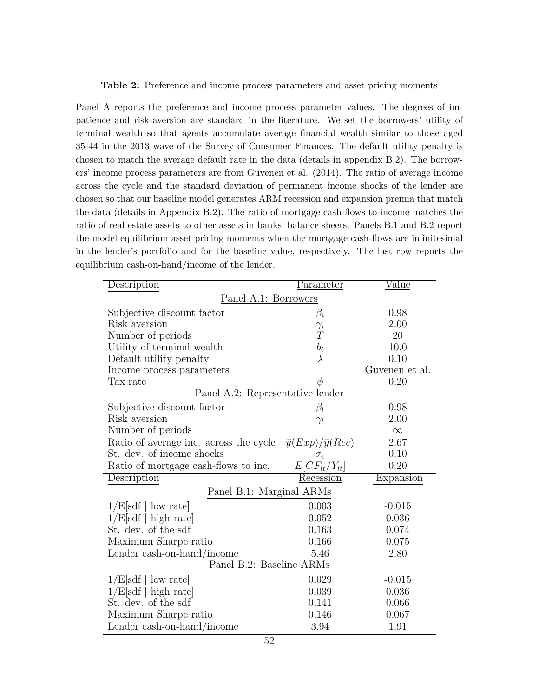#### Table 2: Preference and income process parameters and asset pricing moments

Panel A reports the preference and income process parameter values. The degrees of impatience and risk-aversion are standard in the literature. We set the borrowers' utility of terminal wealth so that agents accumulate average financial wealth similar to those aged 35-44 in the 2013 wave of the Survey of Consumer Finances. The default utility penalty is chosen to match the average default rate in the data (details in appendix B.2). The borrowers' income process parameters are from Guvenen et al. (2014). The ratio of average income across the cycle and the standard deviation of permanent income shocks of the lender are chosen so that our baseline model generates ARM recession and expansion premia that match the data (details in Appendix B.2). The ratio of mortgage cash-flows to income matches the ratio of real estate assets to other assets in banks' balance sheets. Panels B.1 and B.2 report the model equilibrium asset pricing moments when the mortgage cash-flows are infinitesimal in the lender's portfolio and for the baseline value, respectively. The last row reports the equilibrium cash-on-hand/income of the lender.

| Description                            | Parameter                   | $\rm Value$    |  |  |  |  |  |
|----------------------------------------|-----------------------------|----------------|--|--|--|--|--|
| Panel A.1: Borrowers                   |                             |                |  |  |  |  |  |
| Subjective discount factor             | $\beta_i$                   | 0.98           |  |  |  |  |  |
| Risk aversion                          | $\gamma_i$                  | 2.00           |  |  |  |  |  |
| Number of periods                      | $\overline{T}$              | 20             |  |  |  |  |  |
| Utility of terminal wealth             | $b_i$                       | 10.0           |  |  |  |  |  |
| Default utility penalty                | $\lambda$                   | 0.10           |  |  |  |  |  |
| Income process parameters              |                             | Guvenen et al. |  |  |  |  |  |
| Tax rate                               |                             | 0.20           |  |  |  |  |  |
| Panel A.2: Representative lender       |                             |                |  |  |  |  |  |
| Subjective discount factor             | $\beta_l$                   | 0.98           |  |  |  |  |  |
| Risk aversion                          | $\gamma_l$                  | 2.00           |  |  |  |  |  |
| Number of periods                      |                             | $\infty$       |  |  |  |  |  |
| Ratio of average inc. across the cycle | $\bar{y}(Exp)/\bar{y}(Rec)$ | 2.67           |  |  |  |  |  |
| St. dev. of income shocks              | $\sigma_v$                  | 0.10           |  |  |  |  |  |
| Ratio of mortgage cash-flows to inc.   | $E[CF_{lt}/Y_{lt}]$         | 0.20           |  |  |  |  |  |
| Description                            | Recession                   | Expansion      |  |  |  |  |  |
| Panel B.1: Marginal ARMs               |                             |                |  |  |  |  |  |
| 1/E[sdf   low rate]                    | 0.003                       | $-0.015$       |  |  |  |  |  |
| 1/E[sdf   high rate]                   | 0.052                       | 0.036          |  |  |  |  |  |
| St. dev. of the sdf                    | 0.163                       | 0.074          |  |  |  |  |  |
| Maximum Sharpe ratio                   | 0.166                       | 0.075          |  |  |  |  |  |
| Lender cash-on-hand/income             | 5.46                        | 2.80           |  |  |  |  |  |
| Panel B.2: Baseline ARMs               |                             |                |  |  |  |  |  |
| 1/E[sdf   low rate]                    | 0.029                       | $-0.015$       |  |  |  |  |  |
| 1/E[sdf   high rate]                   | 0.039                       | 0.036          |  |  |  |  |  |
| St. dev. of the sdf                    | 0.141                       | 0.066          |  |  |  |  |  |
| Maximum Sharpe ratio                   | 0.146                       | 0.067          |  |  |  |  |  |
| Lender cash-on-hand/income             | 3.94                        | 1.91           |  |  |  |  |  |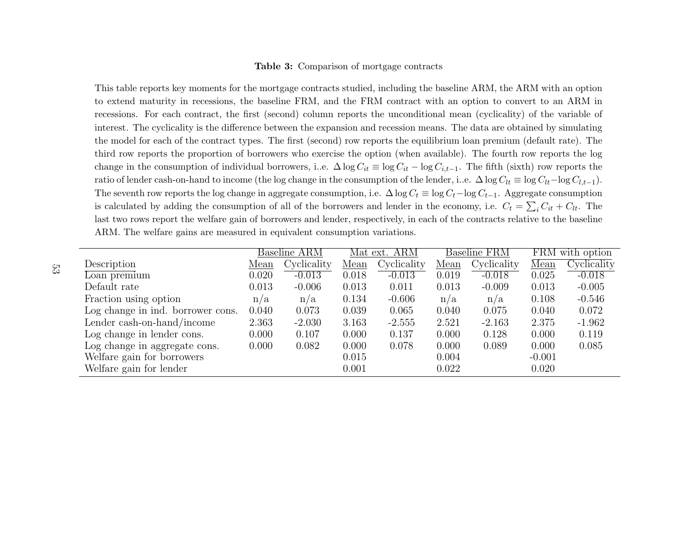#### Table 3: Comparison of mortgage contracts

This table reports key moments for the mortgage contracts studied, including the baseline ARM, the ARM with an option to extend maturity in recessions, the baseline FRM, and the FRM contract with an option to convert to an ARM in recessions. For each contract, the first (second) column reports the unconditional mean (cyclicality) of the variable ofinterest. The cyclicality is the difference between the expansion and recession means. The data are obtained by simulatingthe model for each of the contract types. The first (second) row reports the equilibrium loan premium (default rate). Thethird row reports the proportion of borrowers who exercise the option (when available). The fourth row reports the logchange in the consumption of individual borrowers, i..e.  $\Delta \log C_{it} \equiv \log C_{it} - \log C_{i,t-1}$ . The fifth (sixth) row reports the ratio of lender cash-on-hand to income (the log change in the consumption of the lender, i..e.  $\Delta \log C_l t \equiv \log C_l t - \log C_l t - 1$ ). The seventh row reports the log change in aggregate consumption, i.e.  $\Delta \log C_t \equiv \log C_t - \log C_{t-1}$ . Aggregate consumption is calculated by adding the consumption of all of the borrowers and lender in the economy, i.e.  $C_t = \sum_i C_{it} + C_{lt}$ . The last two rows report the welfare gain of borrowers and lender, respectively, in each of the contracts relative to the baselineARM. The welfare gains are measured in equivalent consumption variations.

|                                   |       | Baseline ARM |       | Mat ext. ARM |        | <b>Baseline FRM</b> |          | FRM with option |
|-----------------------------------|-------|--------------|-------|--------------|--------|---------------------|----------|-----------------|
| Description                       | Mean  | Cyclicality  | Mean  | Cyclicality  | $Mean$ | Cyclicality         | Mean     | Cyclicality     |
| Loan premium                      | 0.020 | $-0.013$     | 0.018 | $-0.013$     | 0.019  | $-0.018$            | 0.025    | $-0.018$        |
| Default rate                      | 0.013 | $-0.006$     | 0.013 | 0.011        | 0.013  | $-0.009$            | 0.013    | $-0.005$        |
| Fraction using option             | n/a   | n/a          | 0.134 | $-0.606$     | n/a    | n/a                 | 0.108    | $-0.546$        |
| Log change in ind. borrower cons. | 0.040 | 0.073        | 0.039 | 0.065        | 0.040  | 0.075               | 0.040    | 0.072           |
| Lender cash-on-hand/income        | 2.363 | $-2.030$     | 3.163 | $-2.555$     | 2.521  | $-2.163$            | 2.375    | $-1.962$        |
| Log change in lender cons.        | 0.000 | 0.107        | 0.000 | 0.137        | 0.000  | 0.128               | 0.000    | 0.119           |
| Log change in aggregate cons.     | 0.000 | 0.082        | 0.000 | 0.078        | 0.000  | 0.089               | 0.000    | 0.085           |
| Welfare gain for borrowers        |       |              | 0.015 |              | 0.004  |                     | $-0.001$ |                 |
| Welfare gain for lender           |       |              | 0.001 |              | 0.022  |                     | 0.020    |                 |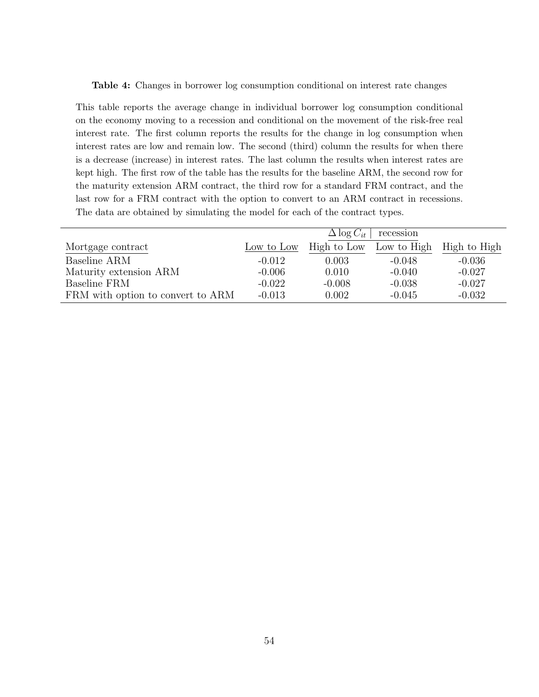Table 4: Changes in borrower log consumption conditional on interest rate changes

This table reports the average change in individual borrower log consumption conditional on the economy moving to a recession and conditional on the movement of the risk-free real interest rate. The first column reports the results for the change in log consumption when interest rates are low and remain low. The second (third) column the results for when there is a decrease (increase) in interest rates. The last column the results when interest rates are kept high. The first row of the table has the results for the baseline ARM, the second row for the maturity extension ARM contract, the third row for a standard FRM contract, and the last row for a FRM contract with the option to convert to an ARM contract in recessions. The data are obtained by simulating the model for each of the contract types.

|                                   | $\Delta \log C_{it}$<br>recession |             |             |              |  |  |
|-----------------------------------|-----------------------------------|-------------|-------------|--------------|--|--|
| Mortgage contract                 | Low to Low                        | High to Low | Low to High | High to High |  |  |
| Baseline ARM                      | $-0.012$                          | 0.003       | $-0.048$    | $-0.036$     |  |  |
| Maturity extension ARM            | $-0.006$                          | 0.010       | $-0.040$    | $-0.027$     |  |  |
| Baseline FRM                      | $-0.022$                          | $-0.008$    | $-0.038$    | $-0.027$     |  |  |
| FRM with option to convert to ARM | $-0.013$                          | 0.002       | $-0.045$    | $-0.032$     |  |  |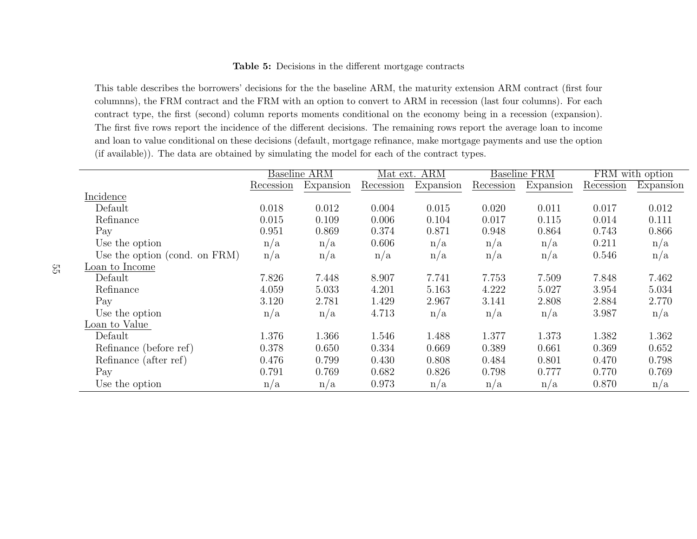#### Table 5: Decisions in the different mortgage contracts

This table describes the borrowers' decisions for the the baseline ARM, the maturity extension ARM contract (first four columnns), the FRM contract and the FRM with an option to convert to ARM in recession (last four columns). For each contract type, the first (second) column reports moments conditional on the economy being in <sup>a</sup> recession (expansion).The first five rows report the incidence of the different decisions. The remaining rows report the average loan to income and loan to value conditional on these decisions (default, mortgage refinance, make mortgage payments and use the option(if available)). The data are obtained by simulating the model for each of the contract types.

|                               |           | <b>Baseline ARM</b> |           | <b>ARM</b><br>Mat ext. |           | <b>Baseline FRM</b> |           | FRM with option |  |
|-------------------------------|-----------|---------------------|-----------|------------------------|-----------|---------------------|-----------|-----------------|--|
|                               | Recession | Expansion           | Recession | Expansion              | Recession | Expansion           | Recession | Expansion       |  |
| Incidence                     |           |                     |           |                        |           |                     |           |                 |  |
| Default                       | 0.018     | 0.012               | 0.004     | 0.015                  | 0.020     | 0.011               | 0.017     | 0.012           |  |
| Refinance                     | 0.015     | 0.109               | 0.006     | 0.104                  | 0.017     | 0.115               | 0.014     | 0.111           |  |
| Pay                           | 0.951     | 0.869               | 0.374     | 0.871                  | 0.948     | 0.864               | 0.743     | 0.866           |  |
| Use the option                | n/a       | n/a                 | 0.606     | n/a                    | n/a       | n/a                 | 0.211     | n/a             |  |
| Use the option (cond. on FRM) | n/a       | n/a                 | n/a       | n/a                    | n/a       | n/a                 | 0.546     | n/a             |  |
| Loan to Income                |           |                     |           |                        |           |                     |           |                 |  |
| Default                       | 7.826     | 7.448               | 8.907     | 7.741                  | 7.753     | 7.509               | 7.848     | 7.462           |  |
| Refinance                     | 4.059     | 5.033               | 4.201     | 5.163                  | 4.222     | 5.027               | 3.954     | 5.034           |  |
| Pay                           | 3.120     | 2.781               | 1.429     | 2.967                  | 3.141     | 2.808               | 2.884     | 2.770           |  |
| Use the option                | n/a       | n/a                 | 4.713     | n/a                    | n/a       | n/a                 | 3.987     | n/a             |  |
| Loan to Value                 |           |                     |           |                        |           |                     |           |                 |  |
| Default                       | 1.376     | 1.366               | 1.546     | 1.488                  | 1.377     | 1.373               | 1.382     | 1.362           |  |
| Refinance (before ref)        | 0.378     | 0.650               | 0.334     | 0.669                  | 0.389     | 0.661               | 0.369     | 0.652           |  |
| Refinance (after ref)         | 0.476     | 0.799               | 0.430     | 0.808                  | 0.484     | 0.801               | 0.470     | 0.798           |  |
| Pay                           | 0.791     | 0.769               | 0.682     | 0.826                  | 0.798     | 0.777               | 0.770     | 0.769           |  |
| Use the option                | n/a       | n/a                 | 0.973     | n/a                    | n/a       | n/a                 | 0.870     | n/a             |  |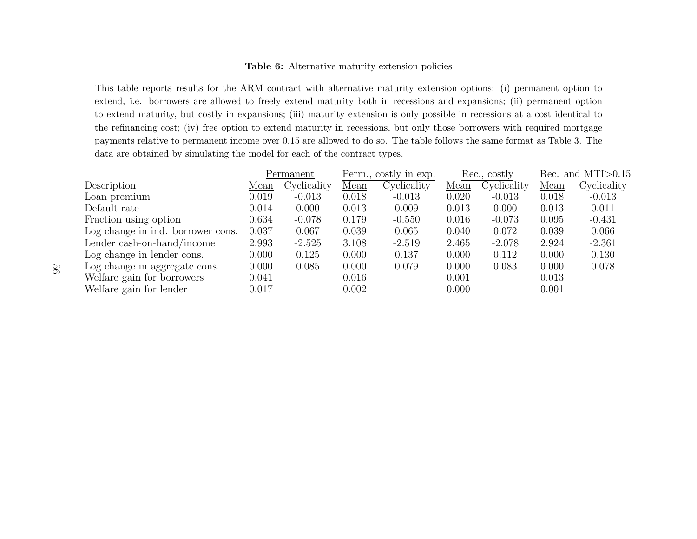#### Table 6: Alternative maturity extension policies

This table reports results for the ARM contract with alternative maturity extension options: (i) permanent option to extend, i.e. borrowers are allowed to freely extend maturity both in recessions and expansions; (ii) permanent option to extend maturity, but costly in expansions; (iii) maturity extension is only possible in recessions at <sup>a</sup> cost identical to the refinancing cost; (iv) free option to extend maturity in recessions, but only those borrowers with required mortgage payments relative to permanent income over 0.15 are allowed to do so. The table follows the same format as Table 3. Thedata are obtained by simulating the model for each of the contract types.

|                                   |       | Permanent   | Perm., costly in exp. |             | Rec., costly |             | Rec. and MTI $>0.15$ |             |
|-----------------------------------|-------|-------------|-----------------------|-------------|--------------|-------------|----------------------|-------------|
| Description                       | Mean  | Cyclicality | Mean                  | Cyclicality | Mean         | Cyclicality | Mean                 | Cyclicality |
| Loan premium                      | 0.019 | $-0.013$    | 0.018                 | $-0.013$    | 0.020        | $-0.013$    | 0.018                | $-0.013$    |
| Default rate                      | 0.014 | 0.000       | 0.013                 | 0.009       | 0.013        | 0.000       | 0.013                | 0.011       |
| Fraction using option             | 0.634 | $-0.078$    | 0.179                 | $-0.550$    | 0.016        | $-0.073$    | 0.095                | $-0.431$    |
| Log change in ind. borrower cons. | 0.037 | 0.067       | 0.039                 | 0.065       | 0.040        | 0.072       | 0.039                | 0.066       |
| Lender cash-on-hand/income        | 2.993 | $-2.525$    | 3.108                 | $-2.519$    | 2.465        | $-2.078$    | 2.924                | $-2.361$    |
| Log change in lender cons.        | 0.000 | 0.125       | 0.000                 | 0.137       | 0.000        | 0.112       | 0.000                | 0.130       |
| Log change in aggregate cons.     | 0.000 | 0.085       | 0.000                 | 0.079       | 0.000        | 0.083       | 0.000                | 0.078       |
| Welfare gain for borrowers        | 0.041 |             | 0.016                 |             | 0.001        |             | 0.013                |             |
| Welfare gain for lender           | 0.017 |             | 0.002                 |             | 0.000        |             | 0.001                |             |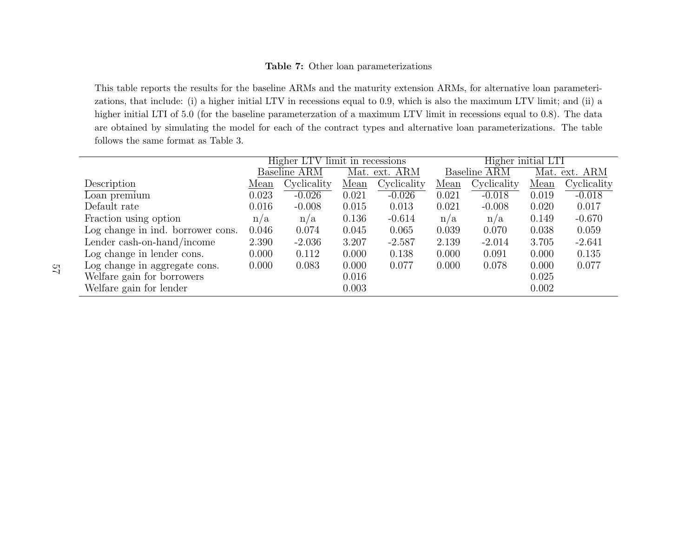#### Table 7: Other loan parameterizations

This table reports the results for the baseline ARMs and the maturity extension ARMs, for alternative loan parameterizations, that include: (i) <sup>a</sup> higher initial LTV in recessions equa<sup>l</sup> to 0.9, which is also the maximum LTV limit; and (ii) <sup>a</sup> higher initial LTI of 5.0 (for the baseline parameterzation of <sup>a</sup> maximum LTV limit in recessions equa<sup>l</sup> to 0.8). The data are obtained by simulating the model for each of the contract types and alternative loan parameterizations. The tablefollows the same format as Table 3.

|                                   | Higher LTV limit in recessions |                     |       | Higher initial LTI |       |                     |       |               |
|-----------------------------------|--------------------------------|---------------------|-------|--------------------|-------|---------------------|-------|---------------|
|                                   |                                | <b>Baseline ARM</b> |       | Mat. ext. ARM      |       | <b>Baseline ARM</b> |       | Mat. ext. ARM |
| Description                       | Mean                           | Cyclicality         | Mean  | Cyclicality        | Mean  | Cyclicality         | Mean  | Cyclicality   |
| Loan premium                      | 0.023                          | $-0.026$            | 0.021 | $-0.026$           | 0.021 | $-0.018$            | 0.019 | $-0.018$      |
| Default rate                      | 0.016                          | $-0.008$            | 0.015 | 0.013              | 0.021 | $-0.008$            | 0.020 | 0.017         |
| Fraction using option             | n/a                            | n/a                 | 0.136 | $-0.614$           | n/a   | n/a                 | 0.149 | $-0.670$      |
| Log change in ind. borrower cons. | 0.046                          | 0.074               | 0.045 | 0.065              | 0.039 | 0.070               | 0.038 | 0.059         |
| Lender cash-on-hand/income        | 2.390                          | $-2.036$            | 3.207 | $-2.587$           | 2.139 | $-2.014$            | 3.705 | $-2.641$      |
| Log change in lender cons.        | 0.000                          | 0.112               | 0.000 | 0.138              | 0.000 | 0.091               | 0.000 | 0.135         |
| Log change in aggregate cons.     | 0.000                          | 0.083               | 0.000 | 0.077              | 0.000 | 0.078               | 0.000 | 0.077         |
| Welfare gain for borrowers        |                                |                     | 0.016 |                    |       |                     | 0.025 |               |
| Welfare gain for lender           |                                |                     | 0.003 |                    |       |                     | 0.002 |               |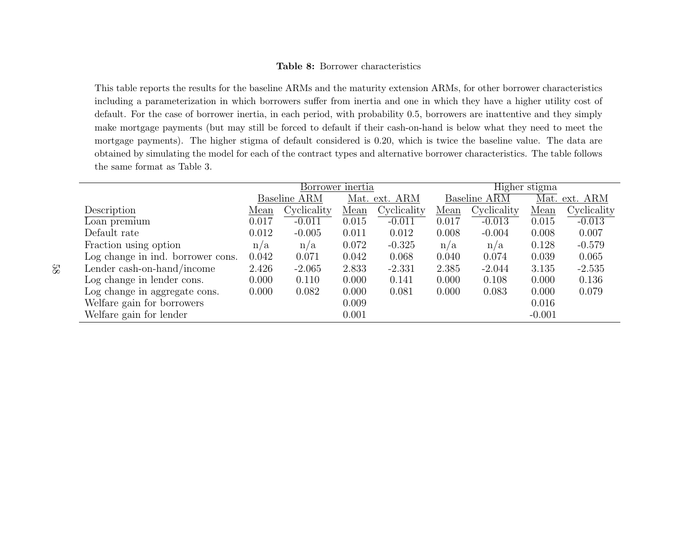#### Table 8: Borrower characteristics

This table reports the results for the baseline ARMs and the maturity extension ARMs, for other borrower characteristics including <sup>a</sup> parameterization in which borrowers suffer from inertia and one in which they have <sup>a</sup> higher utility cost ofdefault. For the case of borrower inertia, in each period, with probability 0.5, borrowers are inattentive and they simply make mortgage payments (but may still be forced to default if their cash-on-hand is below what they need to meet the mortgage payments). The higher stigma of default considered is 0.20, which is twice the baseline value. The data areobtained by simulating the model for each of the contract types and alternative borrower characteristics. The table followsthe same format as Table 3.

|                                   | Borrower inertia |                     |       | Higher stigma |       |                           |               |             |
|-----------------------------------|------------------|---------------------|-------|---------------|-------|---------------------------|---------------|-------------|
|                                   |                  | <b>Baseline ARM</b> |       | Mat. ext. ARM |       | Baseline $A\overline{RM}$ | Mat. ext. ARM |             |
| Description                       | Mean             | Cyclicality         | Mean  | Cyclicality   | Mean  | Cyclicality               | Mean          | Cyclicality |
| $\overline{\text{Loan premium}}$  | 0.017            | $-0.011$            | 0.015 | $-0.011$      | 0.017 | $-0.013$                  | 0.015         | $-0.013$    |
| Default rate                      | 0.012            | $-0.005$            | 0.011 | 0.012         | 0.008 | $-0.004$                  | 0.008         | 0.007       |
| Fraction using option             | n/a              | n/a                 | 0.072 | $-0.325$      | n/a   | n/a                       | 0.128         | $-0.579$    |
| Log change in ind. borrower cons. | 0.042            | 0.071               | 0.042 | 0.068         | 0.040 | 0.074                     | 0.039         | 0.065       |
| Lender cash-on-hand/income        | 2.426            | $-2.065$            | 2.833 | $-2.331$      | 2.385 | $-2.044$                  | 3.135         | $-2.535$    |
| Log change in lender cons.        | 0.000            | 0.110               | 0.000 | 0.141         | 0.000 | 0.108                     | 0.000         | 0.136       |
| Log change in aggregate cons.     | 0.000            | 0.082               | 0.000 | 0.081         | 0.000 | 0.083                     | 0.000         | 0.079       |
| Welfare gain for borrowers        |                  |                     | 0.009 |               |       |                           | 0.016         |             |
| Welfare gain for lender           |                  |                     | 0.001 |               |       |                           | $-0.001$      |             |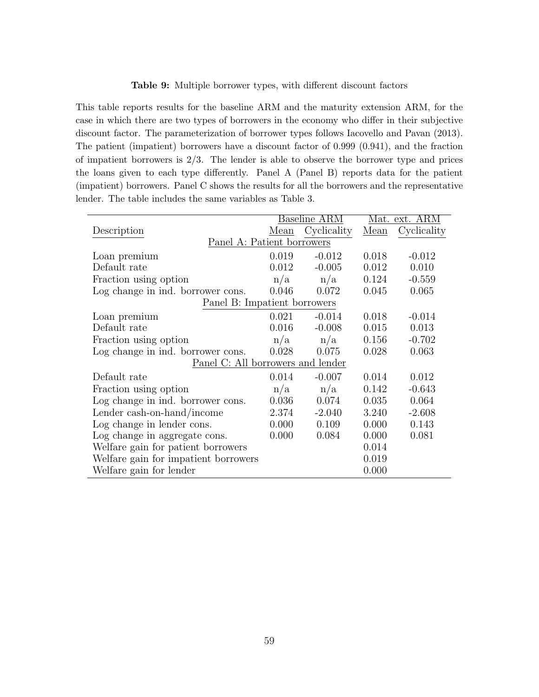#### Table 9: Multiple borrower types, with different discount factors

This table reports results for the baseline ARM and the maturity extension ARM, for the case in which there are two types of borrowers in the economy who differ in their subjective discount factor. The parameterization of borrower types follows Iacovello and Pavan (2013). The patient (impatient) borrowers have a discount factor of 0.999 (0.941), and the fraction of impatient borrowers is 2/3. The lender is able to observe the borrower type and prices the loans given to each type differently. Panel A (Panel B) reports data for the patient (impatient) borrowers. Panel C shows the results for all the borrowers and the representative lender. The table includes the same variables as Table 3.

|                                      |       | Baseline ARM | Mat. ext. ARM |             |  |
|--------------------------------------|-------|--------------|---------------|-------------|--|
| Description                          | Mean  | Cyclicality  | Mean          | Cyclicality |  |
| Panel A: Patient borrowers           |       |              |               |             |  |
| Loan premium                         | 0.019 | $-0.012$     | 0.018         | $-0.012$    |  |
| Default rate                         | 0.012 | $-0.005$     | 0.012         | 0.010       |  |
| Fraction using option                | n/a   | n/a          | 0.124         | $-0.559$    |  |
| Log change in ind. borrower cons.    | 0.046 | 0.072        | 0.045         | 0.065       |  |
| Panel B: Impatient borrowers         |       |              |               |             |  |
| Loan premium                         | 0.021 | $-0.014$     | 0.018         | $-0.014$    |  |
| Default rate                         | 0.016 | $-0.008$     | 0.015         | 0.013       |  |
| Fraction using option                | n/a   | n/a          | 0.156         | $-0.702$    |  |
| Log change in ind. borrower cons.    | 0.028 | 0.075        | 0.028         | 0.063       |  |
| Panel C: All borrowers and lender    |       |              |               |             |  |
| Default rate                         | 0.014 | $-0.007$     | 0.014         | 0.012       |  |
| Fraction using option                | n/a   | n/a          | 0.142         | $-0.643$    |  |
| Log change in ind. borrower cons.    | 0.036 | 0.074        | 0.035         | 0.064       |  |
| Lender cash-on-hand/income           | 2.374 | $-2.040$     | 3.240         | $-2.608$    |  |
| Log change in lender cons.           | 0.000 | 0.109        | 0.000         | 0.143       |  |
| Log change in aggregate cons.        | 0.000 | 0.084        | 0.000         | 0.081       |  |
| Welfare gain for patient borrowers   |       |              | 0.014         |             |  |
| Welfare gain for impatient borrowers |       |              | 0.019         |             |  |
| Welfare gain for lender              |       |              | 0.000         |             |  |